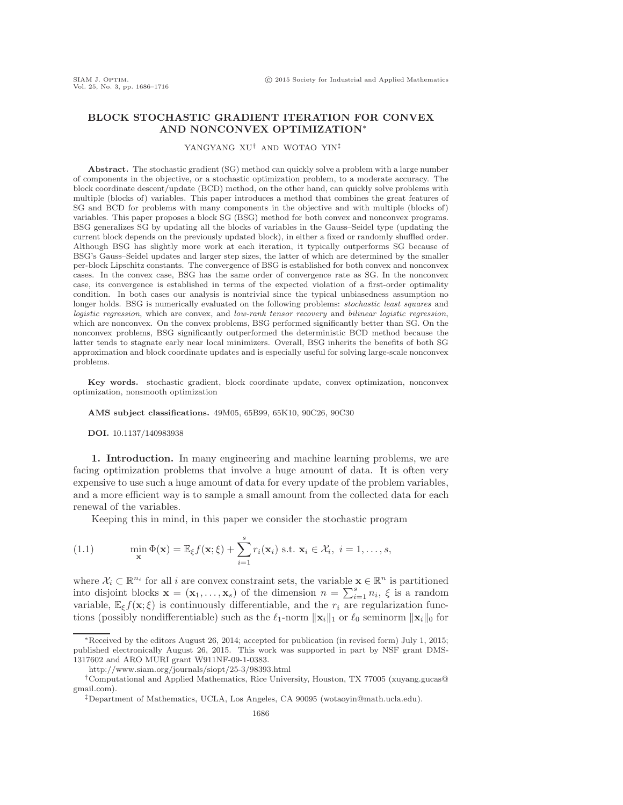# **BLOCK STOCHASTIC GRADIENT ITERATION FOR CONVEX AND NONCONVEX OPTIMIZATION**∗

### YANGYANG XU† AND WOTAO YIN‡

Abstract. The stochastic gradient (SG) method can quickly solve a problem with a large number of components in the objective, or a stochastic optimization problem, to a moderate accuracy. The block coordinate descent/update (BCD) method, on the other hand, can quickly solve problems with multiple (blocks of) variables. This paper introduces a method that combines the great features of SG and BCD for problems with many components in the objective and with multiple (blocks of) variables. This paper proposes a block SG (BSG) method for both convex and nonconvex programs. BSG generalizes SG by updating all the blocks of variables in the Gauss–Seidel type (updating the current block depends on the previously updated block), in either a fixed or randomly shuffled order. Although BSG has slightly more work at each iteration, it typically outperforms SG because of BSG's Gauss–Seidel updates and larger step sizes, the latter of which are determined by the smaller per-block Lipschitz constants. The convergence of BSG is established for both convex and nonconvex cases. In the convex case, BSG has the same order of convergence rate as SG. In the nonconvex case, its convergence is established in terms of the expected violation of a first-order optimality condition. In both cases our analysis is nontrivial since the typical unbiasedness assumption no longer holds. BSG is numerically evaluated on the following problems: *stochastic least squares* and logistic regression, which are convex, and low-rank tensor recovery and bilinear logistic regression, which are nonconvex. On the convex problems, BSG performed significantly better than SG. On the nonconvex problems, BSG significantly outperformed the deterministic BCD method because the latter tends to stagnate early near local minimizers. Overall, BSG inherits the benefits of both SG approximation and block coordinate updates and is especially useful for solving large-scale nonconvex problems.

**Key words.** stochastic gradient, block coordinate update, convex optimization, nonconvex optimization, nonsmooth optimization

**AMS subject classifications.** 49M05, 65B99, 65K10, 90C26, 90C30

**DOI.** 10.1137/140983938

**1. Introduction.** In many engineering and machine learning problems, we are facing optimization problems that involve a huge amount of data. It is often very expensive to use such a huge amount of data for every update of the problem variables, and a more efficient way is to sample a small amount from the collected data for each renewal of the variables.

<span id="page-0-0"></span>Keeping this in mind, in this paper we consider the stochastic program

(1.1) 
$$
\min_{\mathbf{x}} \Phi(\mathbf{x}) = \mathbb{E}_{\xi} f(\mathbf{x}; \xi) + \sum_{i=1}^{s} r_i(\mathbf{x}_i) \text{ s.t. } \mathbf{x}_i \in \mathcal{X}_i, \ i = 1, \dots, s,
$$

where  $X_i \subset \mathbb{R}^{n_i}$  for all i are convex constraint sets, the variable  $\mathbf{x} \in \mathbb{R}^n$  is partitioned into disjoint blocks  $\mathbf{x} = (\mathbf{x}_1, \dots, \mathbf{x}_s)$  of the dimension  $n = \sum_{i=1}^s n_i$ ,  $\xi$  is a random<br>variable  $\mathbb{F}_s f(\mathbf{x}; \xi)$  is continuously differentiable, and the r, are reqularization funcvariable,  $\mathbb{E}_{\xi} f(\mathbf{x}; \xi)$  is continuously differentiable, and the  $r_i$  are regularization functions (possibly nondifferentiable) such as the  $\ell_1$ -norm  $\|\mathbf{x}_i\|_1$  or  $\ell_0$  seminorm  $\|\mathbf{x}_i\|_0$  for

<sup>∗</sup>Received by the editors August 26, 2014; accepted for publication (in revised form) July 1, 2015; published electronically August 26, 2015. This work was supported in part by NSF grant DMS-1317602 and ARO MURI grant W911NF-09-1-0383.

<http://www.siam.org/journals/siopt/25-3/98393.html>

<sup>†</sup>Computational and Applied Mathematics, Rice University, Houston, TX 77005 [\(xuyang.gucas@](mailto:xuyang.gucas@gmail.com) [gmail.com\)](mailto:xuyang.gucas@gmail.com).

<sup>‡</sup>Department of Mathematics, UCLA, Los Angeles, CA 90095 [\(wotaoyin@math.ucla.edu\)](mailto:wotaoyin@math.ucla.edu).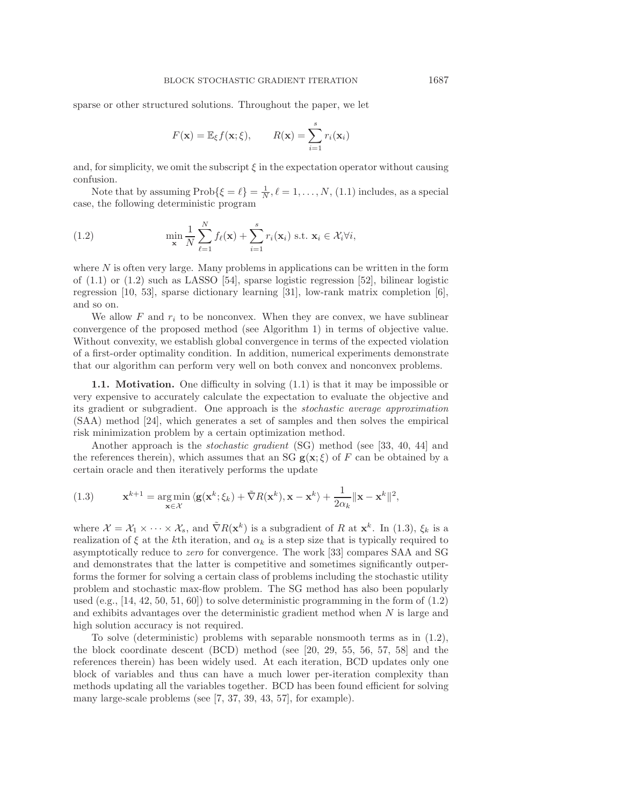sparse or other structured solutions. Throughout the paper, we let

<span id="page-1-0"></span>
$$
F(\mathbf{x}) = \mathbb{E}_{\xi} f(\mathbf{x}; \xi), \qquad R(\mathbf{x}) = \sum_{i=1}^{s} r_i(\mathbf{x}_i)
$$

and, for simplicity, we omit the subscript  $\xi$  in the expectation operator without causing confusion.

Note that by assuming  $\text{Prob}\{\xi = \ell\} = \frac{1}{N}, \ell = 1, ..., N, (1.1)$  $\text{Prob}\{\xi = \ell\} = \frac{1}{N}, \ell = 1, ..., N, (1.1)$  includes, as a special case, the following deterministic program

(1.2) 
$$
\min_{\mathbf{x}} \frac{1}{N} \sum_{\ell=1}^{N} f_{\ell}(\mathbf{x}) + \sum_{i=1}^{s} r_{i}(\mathbf{x}_{i}) \text{ s.t. } \mathbf{x}_{i} \in \mathcal{X}_{i} \forall i,
$$

where  $N$  is often very large. Many problems in applications can be written in the form of  $(1.1)$  or  $(1.2)$  such as LASSO [\[54\]](#page-29-0), sparse logistic regression [\[52\]](#page-29-1), bilinear logistic regression [\[10,](#page-28-0) [53\]](#page-29-2), sparse dictionary learning [\[31\]](#page-29-3), low-rank matrix completion [\[6\]](#page-28-1), and so on.

We allow  $F$  and  $r_i$  to be nonconvex. When they are convex, we have sublinear convergence of the proposed method (see Algorithm [1\)](#page-2-0) in terms of objective value. Without convexity, we establish global convergence in terms of the expected violation of a first-order optimality condition. In addition, numerical experiments demonstrate that our algorithm can perform very well on both convex and nonconvex problems.

**1.1.** Motivation. One difficulty in solving  $(1.1)$  is that it may be impossible or very expensive to accurately calculate the expectation to evaluate the objective and its gradient or subgradient. One approach is the *stochastic average approximation* (SAA) method [\[24\]](#page-28-2), which generates a set of samples and then solves the empirical risk minimization problem by a certain optimization method.

Another approach is the *stochastic gradient* (SG) method (see [\[33,](#page-29-4) [40,](#page-29-5) [44\]](#page-29-6) and the references therein), which assumes that an SG  $g(x;\xi)$  of F can be obtained by a certain oracle and then iteratively performs the update

<span id="page-1-1"></span>(1.3) 
$$
\mathbf{x}^{k+1} = \underset{\mathbf{x} \in \mathcal{X}}{\arg \min} \left\langle \mathbf{g}(\mathbf{x}^k; \xi_k) + \tilde{\nabla} R(\mathbf{x}^k), \mathbf{x} - \mathbf{x}^k \right\rangle + \frac{1}{2\alpha_k} ||\mathbf{x} - \mathbf{x}^k||^2,
$$

where  $\mathcal{X} = \mathcal{X}_1 \times \cdots \times \mathcal{X}_s$ , and  $\tilde{\nabla} R(\mathbf{x}^k)$  is a subgradient of R at  $\mathbf{x}^k$ . In [\(1.3\)](#page-1-1),  $\xi_k$  is a realization of  $\xi$  at the kth iteration, and  $\alpha_k$  is a step size that is typically required to asymptotically reduce to *zero* for convergence. The work [\[33\]](#page-29-4) compares SAA and SG and demonstrates that the latter is competitive and sometimes significantly outperforms the former for solving a certain class of problems including the stochastic utility problem and stochastic max-flow problem. The SG method has also been popularly used (e.g.,  $[14, 42, 50, 51, 60]$  $[14, 42, 50, 51, 60]$  $[14, 42, 50, 51, 60]$  $[14, 42, 50, 51, 60]$  $[14, 42, 50, 51, 60]$ ) to solve deterministic programming in the form of  $(1.2)$ and exhibits advantages over the deterministic gradient method when  $N$  is large and high solution accuracy is not required.

To solve (deterministic) problems with separable nonsmooth terms as in [\(1.2\)](#page-1-0), the block coordinate descent (BCD) method (see [\[20,](#page-28-4) [29,](#page-28-5) [55,](#page-29-10) [56,](#page-29-11) [57,](#page-29-12) [58\]](#page-30-1) and the references therein) has been widely used. At each iteration, BCD updates only one block of variables and thus can have a much lower per-iteration complexity than methods updating all the variables together. BCD has been found efficient for solving many large-scale problems (see [\[7,](#page-28-6) [37,](#page-29-13) [39,](#page-29-14) [43,](#page-29-15) [57\]](#page-29-12), for example).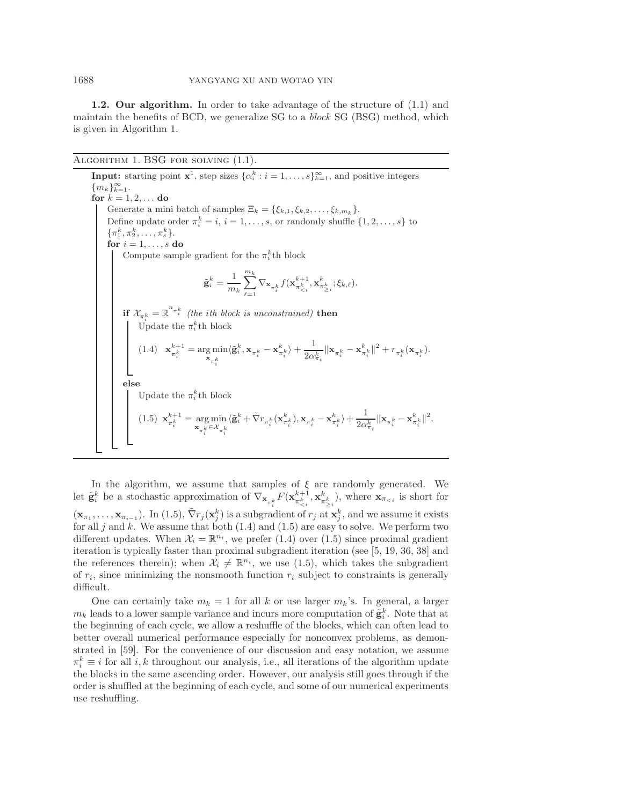**1.2. Our algorithm.** In order to take advantage of the structure of [\(1.1\)](#page-0-0) and maintain the benefits of BCD, we generalize SG to a *block* SG (BSG) method, which is given in Algorithm [1.](#page-2-0)

ALGORITHM 1. BSG FOR SOLVING  $(1.1)$ .

<span id="page-2-2"></span><span id="page-2-0"></span>**Input:** starting point  $\mathbf{x}^1$ , step sizes  $\{\alpha_i^k : i = 1, ..., s\}_{k=1}^{\infty}$ , and positive integers  ${m_k}_{k=1}^{\infty}$ . **for**  $k = 1, 2, ...$  **do** Generate a mini batch of samples  $\Xi_k = \{\xi_{k,1}, \xi_{k,2}, \ldots, \xi_{k,m_k}\}.$ Define update order  $\pi_i^k = i, i = 1, \ldots, s$ , or randomly shuffle  $\{1, 2, \ldots, s\}$  to  $\{\pi_1^k, \pi_2^k, \ldots, \pi_s^k\}.$ **for**  $i = 1, \ldots, s$  **do** Compute sample gradient for the  $\pi_i^k$ th block  $\tilde{\mathbf{g}}_i^k = \frac{1}{m_k} \sum_{\ell=1}^{m_k}$  $\sum_{\ell=1}\nabla_{\mathbf{x}_{\pi_{i}^{k}}}f(\mathbf{x}_{\pi_{$  $\mathbf{if} \ \mathcal{X}_{\pi^k_i} = \mathbb{R}^{n_{\pi^k_i}}$  *(the ith block is unconstrained)* **then** Update the  $\pi_i^k$ th block  $(1.4)$  **x**<sub> $\pi_i^{k+1}$ </sub> = arg min  $\mathbf{x}_{\pi_i^k}$  $\langle \tilde{\mathbf{g}}_i^k, \mathbf{x}_{\pi_i^k} - \mathbf{x}_{\pi_i^k}^k \rangle + \frac{1}{2\alpha!}$  $\frac{1}{2\alpha_{\pi_{i}}^{k}}\|\mathbf{x}_{\pi_{i}^{k}}-\mathbf{x}_{\pi_{i}^{k}}^{k}\|^{2}+r_{\pi_{i}^{k}}(\mathbf{x}_{\pi_{i}^{k}}).$ **else** Update the  $\pi_i^k$ <sup>th</sup> block  $(1.5)$   $\mathbf{x}_{\pi_i^k}^{k+1} = \underset{\mathbf{x}_{i}}{\arg \min}$  $\mathbf{x}_{\pi_k^k} \in \mathcal{X}_{\pi_k^k}$  $\langle \tilde{\textbf{g}}^{k}_{i}+\tilde{\nabla}r_{\pi^{k}_{i}}(\textbf{x}^{k}_{\pi^{k}_{i}}),\textbf{x}_{\pi^{k}_{i}}-\textbf{x}^{k}_{\pi^{k}_{i}}\rangle+\frac{1}{2\alpha^{k}_{i}}$  $\frac{1}{2\alpha_{\pi_i}^k}\|\mathbf{x}_{\pi_i^k}-\mathbf{x}_{\pi_i^k}^k\|^2.$ 

<span id="page-2-1"></span>In the algorithm, we assume that samples of  $\xi$  are randomly generated. We let  $\tilde{\mathbf{g}}_i^k$  be a stochastic approximation of  $\nabla_{\mathbf{x}_{\pi_i^k}} F(\mathbf{x}_{\pi_{\leq i}}^{k+1}, \mathbf{x}_{\pi_{\geq i}}^k)$ , where  $\mathbf{x}_{\pi_{\leq i}}$  is short for  $(\mathbf{x}_{\pi_1}, \ldots, \mathbf{x}_{\pi_{i-1}})$ . In [\(1.5\)](#page-2-1),  $\tilde{\nabla}r_j(\mathbf{x}_j^k)$  is a subgradient of  $r_j$  at  $\mathbf{x}_j^k$ , and we assume it exists for all j and k. We assume that both  $(1.4)$  and  $(1.5)$  are easy to solve. We perform two different updates. When  $\mathcal{X}_i = \mathbb{R}^{n_i}$ , we prefer [\(1.4\)](#page-2-2) over [\(1.5\)](#page-2-1) since proximal gradient iteration is typically faster than proximal subgradient iteration (see [\[5,](#page-28-7) [19,](#page-28-8) [36,](#page-29-16) [38\]](#page-29-17) and the references therein); when  $\mathcal{X}_i \neq \mathbb{R}^{n_i}$ , we use [\(1.5\)](#page-2-1), which takes the subgradient of  $r_i$ , since minimizing the nonsmooth function  $r_i$  subject to constraints is generally difficult.

One can certainly take  $m_k = 1$  for all k or use larger  $m_k$ 's. In general, a larger  $m_k$  leads to a lower sample variance and incurs more computation of  $\tilde{\mathbf{g}}_i^k$ . Note that at the beginning of each cycle, we allow a reshuffle of the blocks, which can often lead to better overall numerical performance especially for nonconvex problems, as demonstrated in [\[59\]](#page-30-2). For the convenience of our discussion and easy notation, we assume  $\pi_i^k \equiv i$  for all  $i, k$  throughout our analysis, i.e., all iterations of the algorithm update the blocks in the same ascending order. However, our analysis still goes through if the order is shuffled at the beginning of each cycle, and some of our numerical experiments use reshuffling.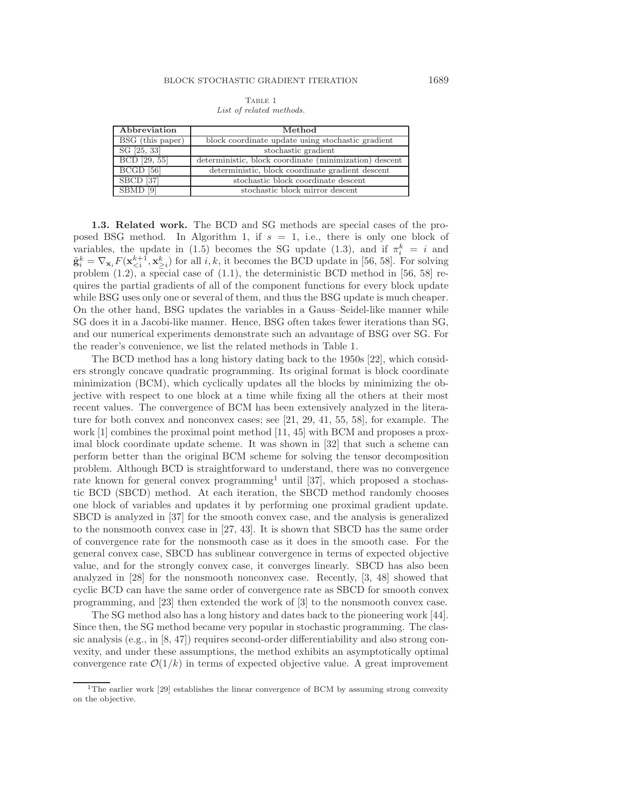<span id="page-3-0"></span>Table 1 List of related methods.

| Abbreviation            | Method                                                 |  |  |  |
|-------------------------|--------------------------------------------------------|--|--|--|
| BSG (this paper)        | block coordinate update using stochastic gradient      |  |  |  |
| $SG$ [25, 33]           | stochastic gradient                                    |  |  |  |
| BCD [29, 55]            | deterministic, block coordinate (minimization) descent |  |  |  |
| $BCG\overline{D\ [56]}$ | deterministic, block coordinate gradient descent       |  |  |  |
| $SBCD$ [37]             | stochastic block coordinate descent                    |  |  |  |
| SBMD                    | stochastic block mirror descent                        |  |  |  |

**1.3. Related work.** The BCD and SG methods are special cases of the pro-posed BSG method. In Algorithm [1,](#page-2-0) if  $s = 1$ , i.e., there is only one block of variables, the update in [\(1.5\)](#page-2-1) becomes the SG update [\(1.3\)](#page-1-1), and if  $\pi_i^k = i$  and  $\tilde{\mathbf{g}}_i^k = \nabla_{\mathbf{x}_i} F(\mathbf{x}_{\leq i}^{k+1}, \mathbf{x}_{\geq i}^k)$  for all  $i, k$ , it becomes the BCD update in [\[56,](#page-29-11) [58\]](#page-30-1). For solving problem  $(1.2)$ , a special case of  $(1.1)$ , the deterministic BCD method in [\[56,](#page-29-11) [58\]](#page-30-1) requires the partial gradients of all of the component functions for every block update while BSG uses only one or several of them, and thus the BSG update is much cheaper. On the other hand, BSG updates the variables in a Gauss–Seidel-like manner while SG does it in a Jacobi-like manner. Hence, BSG often takes fewer iterations than SG, and our numerical experiments demonstrate such an advantage of BSG over SG. For the reader's convenience, we list the related methods in Table [1.](#page-3-0)

The BCD method has a long history dating back to the 1950s [\[22\]](#page-28-11), which considers strongly concave quadratic programming. Its original format is block coordinate minimization (BCM), which cyclically updates all the blocks by minimizing the objective with respect to one block at a time while fixing all the others at their most recent values. The convergence of BCM has been extensively analyzed in the literature for both convex and nonconvex cases; see [\[21,](#page-28-12) [29,](#page-28-5) [41,](#page-29-18) [55,](#page-29-10) [58\]](#page-30-1), for example. The work [\[1\]](#page-28-13) combines the proximal point method [\[11,](#page-28-14) [45\]](#page-29-19) with BCM and proposes a proximal block coordinate update scheme. It was shown in [\[32\]](#page-29-20) that such a scheme can perform better than the original BCM scheme for solving the tensor decomposition problem. Although BCD is straightforward to understand, there was no convergence rate known for general convex programming<sup>[1](#page-3-1)</sup> until [\[37\]](#page-29-13), which proposed a stochastic BCD (SBCD) method. At each iteration, the SBCD method randomly chooses one block of variables and updates it by performing one proximal gradient update. SBCD is analyzed in [\[37\]](#page-29-13) for the smooth convex case, and the analysis is generalized to the nonsmooth convex case in [\[27,](#page-28-15) [43\]](#page-29-15). It is shown that SBCD has the same order of convergence rate for the nonsmooth case as it does in the smooth case. For the general convex case, SBCD has sublinear convergence in terms of expected objective value, and for the strongly convex case, it converges linearly. SBCD has also been analyzed in [\[28\]](#page-28-16) for the nonsmooth nonconvex case. Recently, [\[3,](#page-28-17) [48\]](#page-29-21) showed that cyclic BCD can have the same order of convergence rate as SBCD for smooth convex programming, and [\[23\]](#page-28-18) then extended the work of [\[3\]](#page-28-17) to the nonsmooth convex case.

The SG method also has a long history and dates back to the pioneering work [\[44\]](#page-29-6). Since then, the SG method became very popular in stochastic programming. The classic analysis  $(e.g., in [8, 47])$  $(e.g., in [8, 47])$  $(e.g., in [8, 47])$  $(e.g., in [8, 47])$  requires second-order differentiability and also strong convexity, and under these assumptions, the method exhibits an asymptotically optimal convergence rate  $\mathcal{O}(1/k)$  in terms of expected objective value. A great improvement

<span id="page-3-1"></span><sup>&</sup>lt;sup>1</sup>The earlier work [\[29\]](#page-28-5) establishes the linear convergence of BCM by assuming strong convexity on the objective.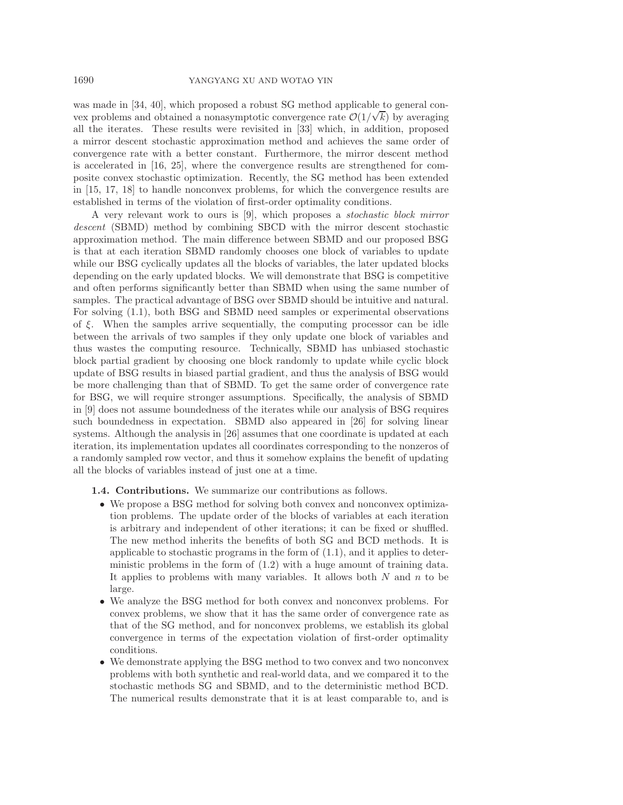was made in [\[34,](#page-29-23) [40\]](#page-29-5), which proposed a robust SG method applicable to general convex problems and obtained a nonasymptotic convergence rate  $\mathcal{O}(1/\sqrt{k})$  by averaging all the iterates. These results were revisited in [\[33\]](#page-29-4) which, in addition, proposed a mirror descent stochastic approximation method and achieves the same order of convergence rate with a better constant. Furthermore, the mirror descent method is accelerated in [\[16,](#page-28-20) [25\]](#page-28-9), where the convergence results are strengthened for composite convex stochastic optimization. Recently, the SG method has been extended in [\[15,](#page-28-21) [17,](#page-28-22) [18\]](#page-28-23) to handle nonconvex problems, for which the convergence results are established in terms of the violation of first-order optimality conditions.

A very relevant work to ours is [\[9\]](#page-28-10), which proposes a *stochastic block mirror descent* (SBMD) method by combining SBCD with the mirror descent stochastic approximation method. The main difference between SBMD and our proposed BSG is that at each iteration SBMD randomly chooses one block of variables to update while our BSG cyclically updates all the blocks of variables, the later updated blocks depending on the early updated blocks. We will demonstrate that BSG is competitive and often performs significantly better than SBMD when using the same number of samples. The practical advantage of BSG over SBMD should be intuitive and natural. For solving [\(1.1\)](#page-0-0), both BSG and SBMD need samples or experimental observations of  $\xi$ . When the samples arrive sequentially, the computing processor can be idle between the arrivals of two samples if they only update one block of variables and thus wastes the computing resource. Technically, SBMD has unbiased stochastic block partial gradient by choosing one block randomly to update while cyclic block update of BSG results in biased partial gradient, and thus the analysis of BSG would be more challenging than that of SBMD. To get the same order of convergence rate for BSG, we will require stronger assumptions. Specifically, the analysis of SBMD in [\[9\]](#page-28-10) does not assume boundedness of the iterates while our analysis of BSG requires such boundedness in expectation. SBMD also appeared in [\[26\]](#page-28-24) for solving linear systems. Although the analysis in [\[26\]](#page-28-24) assumes that one coordinate is updated at each iteration, its implementation updates all coordinates corresponding to the nonzeros of a randomly sampled row vector, and thus it somehow explains the benefit of updating all the blocks of variables instead of just one at a time.

- **1.4. Contributions.** We summarize our contributions as follows.
	- We propose a BSG method for solving both convex and nonconvex optimization problems. The update order of the blocks of variables at each iteration is arbitrary and independent of other iterations; it can be fixed or shuffled. The new method inherits the benefits of both SG and BCD methods. It is applicable to stochastic programs in the form of [\(1.1\)](#page-0-0), and it applies to deterministic problems in the form of [\(1.2\)](#page-1-0) with a huge amount of training data. It applies to problems with many variables. It allows both  $N$  and  $n$  to be large.
	- We analyze the BSG method for both convex and nonconvex problems. For convex problems, we show that it has the same order of convergence rate as that of the SG method, and for nonconvex problems, we establish its global convergence in terms of the expectation violation of first-order optimality conditions.
	- We demonstrate applying the BSG method to two convex and two nonconvex problems with both synthetic and real-world data, and we compared it to the stochastic methods SG and SBMD, and to the deterministic method BCD. The numerical results demonstrate that it is at least comparable to, and is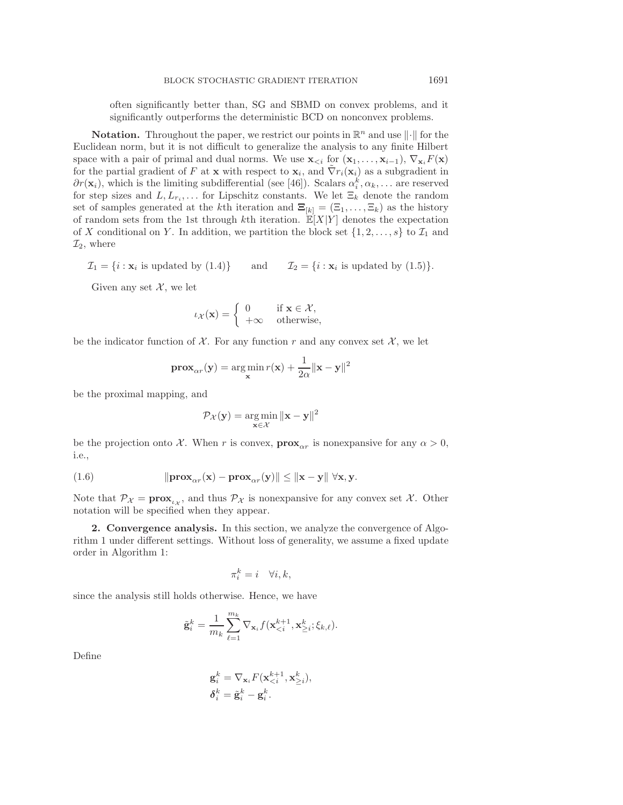often significantly better than, SG and SBMD on convex problems, and it significantly outperforms the deterministic BCD on nonconvex problems.

**Notation.** Throughout the paper, we restrict our points in  $\mathbb{R}^n$  and use  $\|\cdot\|$  for the Euclidean norm, but it is not difficult to generalize the analysis to any finite Hilbert space with a pair of primal and dual norms. We use  $\mathbf{x}_{\leq i}$  for  $(\mathbf{x}_1,\ldots,\mathbf{x}_{i-1}), \nabla_{\mathbf{x}_i} F(\mathbf{x})$ for the partial gradient of F at **x** with respect to  $\mathbf{x}_i$ , and  $\nabla r_i(\mathbf{x}_i)$  as a subgradient in  $\partial r(\mathbf{x}_i)$ , which is the limiting subdifferential (see [\[46\]](#page-29-24)). Scalars  $\alpha_i^k, \alpha_k, \dots$  are reserved for step sizes and  $L, L_{r_i}, \ldots$  for Lipschitz constants. We let  $\Xi_k$  denote the random set of samples generated at the k<sup>th</sup> iteration and  $\Xi_{[k]} = (\Xi_1, \ldots, \Xi_k)$  as the history of random sets from the 1st through kth iteration.  $\mathbb{E}[X|Y]$  denotes the expectation of X conditional on Y. In addition, we partition the block set  $\{1, 2, \ldots, s\}$  to  $\mathcal{I}_1$  and  $\mathcal{I}_2$ , where

$$
\mathcal{I}_1 = \{i : \mathbf{x}_i \text{ is updated by (1.4)}\} \qquad \text{and} \qquad \mathcal{I}_2 = \{i : \mathbf{x}_i \text{ is updated by (1.5)}\}.
$$

Given any set  $\mathcal{X}$ , we let

$$
\iota_{\mathcal{X}}(\mathbf{x}) = \begin{cases} 0 & \text{if } \mathbf{x} \in \mathcal{X}, \\ +\infty & \text{otherwise,} \end{cases}
$$

be the indicator function of  $\mathcal X$ . For any function r and any convex set  $\mathcal X$ , we let

$$
\mathbf{prox}_{\alpha r}(\mathbf{y}) = \argmin_{\mathbf{x}} r(\mathbf{x}) + \frac{1}{2\alpha} ||\mathbf{x} - \mathbf{y}||^2
$$

be the proximal mapping, and

$$
\mathcal{P}_{\mathcal{X}}(\mathbf{y}) = \underset{\mathbf{x} \in \mathcal{X}}{\arg \min} \|\mathbf{x} - \mathbf{y}\|^2
$$

<span id="page-5-0"></span>be the projection onto X. When r is convex,  $\mathbf{prox}_{\alpha r}$  is nonexpansive for any  $\alpha > 0$ , i.e.,

(1.6) 
$$
\|\mathbf{prox}_{\alpha r}(\mathbf{x}) - \mathbf{prox}_{\alpha r}(\mathbf{y})\| \leq \|\mathbf{x} - \mathbf{y}\| \forall \mathbf{x}, \mathbf{y}.
$$

Note that  $\mathcal{P}_{\chi} = \mathbf{prox}_{\iota_{\chi}}$ , and thus  $\mathcal{P}_{\chi}$  is nonexpansive for any convex set  $\chi$ . Other notation will be specified when they appear.

**2. Convergence analysis.** In this section, we analyze the convergence of Algorithm [1](#page-2-0) under different settings. Without loss of generality, we assume a fixed update order in Algorithm [1:](#page-2-0)

$$
\pi_i^k = i \quad \forall i, k,
$$

since the analysis still holds otherwise. Hence, we have

$$
\tilde{\mathbf{g}}_i^k = \frac{1}{m_k} \sum_{\ell=1}^{m_k} \nabla_{\mathbf{x}_i} f(\mathbf{x}_{< i}^{k+1}, \mathbf{x}_{\geq i}^k; \xi_{k,\ell}).
$$

Define

$$
\begin{aligned} \mathbf{g}_i^k &= \nabla_{\mathbf{x}_i} F(\mathbf{x}_{
$$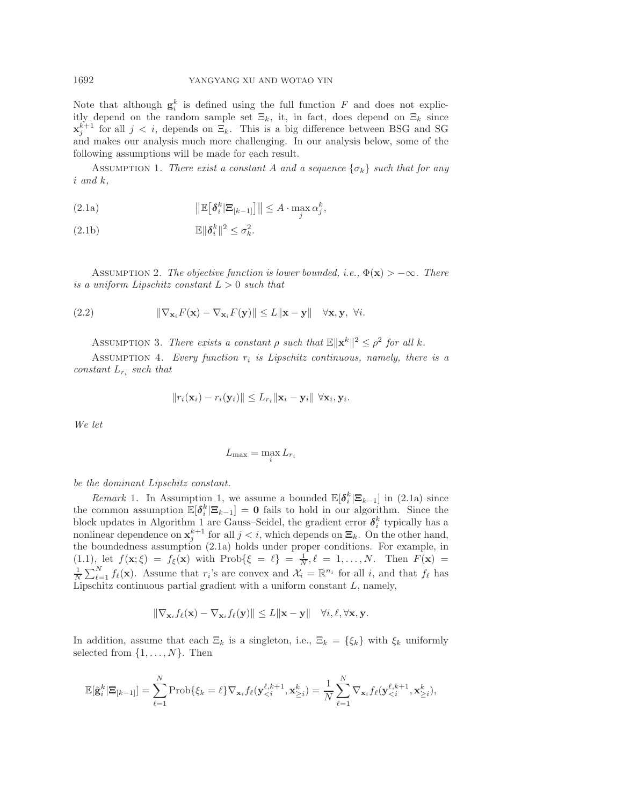Note that although  $g_i^k$  is defined using the full function  $F$  and does not explicitly depend on the random sample set  $\Xi_k$ , it, in fact, does depend on  $\Xi_k$  since  $\mathbf{x}_{j}^{k+1}$  for all  $j < i$ , depends on  $\Xi_k$ . This is a big difference between BSG and SG and makes our analysis much more challenging. In our analysis below, some of the following assumptions will be made for each result.

<span id="page-6-0"></span>ASSUMPTION 1. *There exist a constant* A and a sequence  $\{\sigma_k\}$  such that for any i *and* k*,*

<span id="page-6-1"></span>(2.1a)  $\|\mathbb{E}[\delta_i^k | \Xi_{[k-1]}] \| \leq A \cdot \max_j \alpha_j^k,$ 

<span id="page-6-2"></span>
$$
\mathbb{E} \|\boldsymbol{\delta}_i^k\|^2 \leq \sigma_k^2.
$$

<span id="page-6-4"></span>ASSUMPTION 2. *The objective function is lower bounded, i.e.,*  $\Phi(\mathbf{x}) > -\infty$ *. There is a uniform Lipschitz constant*  $L > 0$  *such that* 

<span id="page-6-3"></span>(2.2) 
$$
\|\nabla_{\mathbf{x}_i} F(\mathbf{x}) - \nabla_{\mathbf{x}_i} F(\mathbf{y})\| \leq L \|\mathbf{x} - \mathbf{y}\| \quad \forall \mathbf{x}, \mathbf{y}, \ \forall i.
$$

ASSUMPTION 3. *There exists a constant*  $\rho$  *such that*  $\mathbb{E}||\mathbf{x}^k||^2 \leq \rho^2$  for all k.

<span id="page-6-5"></span>Assumption 4. *Every function* r<sup>i</sup> *is Lipschitz continuous, namely, there is a constant* L<sup>r</sup><sup>i</sup> *such that*

<span id="page-6-6"></span>
$$
||r_i(\mathbf{x}_i)-r_i(\mathbf{y}_i)|| \leq L_{r_i}||\mathbf{x}_i-\mathbf{y}_i|| \ \forall \mathbf{x}_i,\mathbf{y}_i.
$$

*We let*

$$
L_{\max} = \max_i L_{r_i}
$$

*be the dominant Lipschitz constant.*

*Remark* 1. In Assumption [1,](#page-6-0) we assume a bounded  $\mathbb{E}[\delta_i^k | \mathbf{\Xi}_{k-1}]$  in [\(2.1a\)](#page-6-1) since the common assumption  $\mathbb{E}[\delta_i^k | \mathbb{E}_{k-1}] = \mathbf{0}$  fails to hold in our algorithm. Since the block updates in Algorithm [1](#page-2-0) are Gauss–Seidel, the gradient error  $\delta_i^k$  typically has a nonlinear dependence on  $\mathbf{x}_{j}^{k+1}$  for all  $j < i$ , which depends on  $\mathbf{\Xi}_{k}$ . On the other hand, the boundedness assumption [\(2.1a\)](#page-6-1) holds under proper conditions. For example, in  $(1.1)$ , let  $f(\mathbf{x}; \xi) = f_{\xi}(\mathbf{x})$  with  $\text{Prob}\{\xi = \ell\} = \frac{1}{N}, \ell = 1, \ldots, N$ . Then  $F(\mathbf{x}) =$  $\frac{1}{N} \sum_{\ell=1}^{N} f_{\ell}(\mathbf{x})$ . Assume that  $r_i$ 's are convex and  $\mathcal{X}_i = \mathbb{R}^{n_i}$  for all i, and that  $f_{\ell}$  has Lipschitz continuous partial gradient with a uniform constant  $L$ , namely,

$$
\|\nabla_{\mathbf{x}_i} f_\ell(\mathbf{x}) - \nabla_{\mathbf{x}_i} f_\ell(\mathbf{y})\| \leq L \|\mathbf{x} - \mathbf{y}\| \quad \forall i, \ell, \forall \mathbf{x}, \mathbf{y}.
$$

In addition, assume that each  $\Xi_k$  is a singleton, i.e.,  $\Xi_k = {\xi_k}$  with  $\xi_k$  uniformly selected from  $\{1, \ldots, N\}$ . Then

$$
\mathbb{E}[\tilde{\mathbf{g}}_i^k|\mathbf{\Xi}_{[k-1]}]=\sum_{\ell=1}^N\text{Prob}\{\xi_k=\ell\}\nabla_{\mathbf{x}_i}f_\ell(\mathbf{y}_{
$$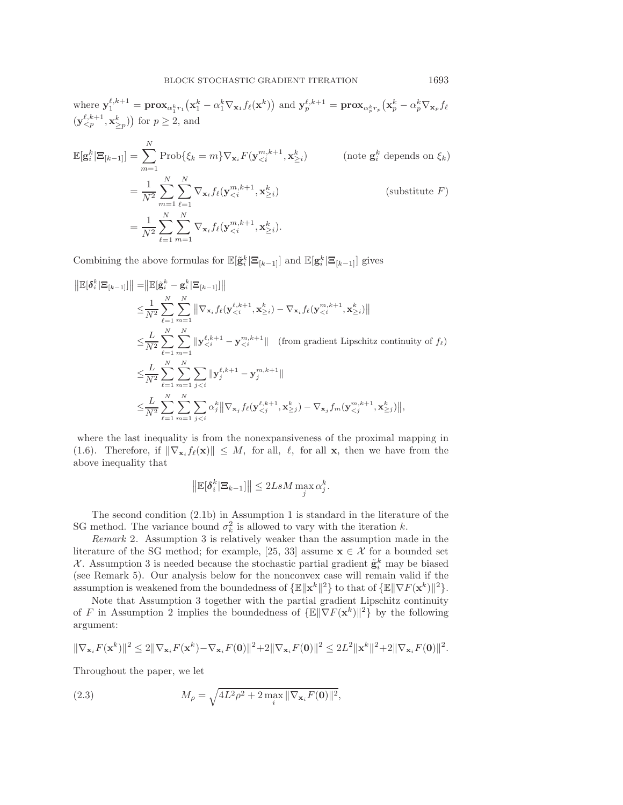$$
\mathbb{E}[\mathbf{g}_i^k | \mathbf{\Xi}_{[k-1]}] = \sum_{m=1}^N \text{Prob}\{\xi_k = m\} \nabla_{\mathbf{x}_i} F(\mathbf{y}_{\n
$$
= \frac{1}{N^2} \sum_{m=1}^N \sum_{\ell=1}^N \nabla_{\mathbf{x}_i} f_\ell(\mathbf{y}_{\n
$$
= \frac{1}{N^2} \sum_{\ell=1}^N \sum_{m=1}^N \nabla_{\mathbf{x}_i} f_\ell(\mathbf{y}_{\n(substitute  $F$ )
$$
$$
$$

Combining the above formulas for  $\mathbb{E}[\tilde{\mathbf{g}}_i^k | \mathbf{\Xi}_{[k-1]}]$  and  $\mathbb{E}[\mathbf{g}_i^k | \mathbf{\Xi}_{[k-1]}]$  gives

$$
\|\mathbb{E}[\delta_i^k | \mathbf{\Xi}_{[k-1]}]\| = \|\mathbb{E}[\tilde{\mathbf{g}}_i^k - \mathbf{g}_i^k | \mathbf{\Xi}_{[k-1]}]\| \n\leq \frac{1}{N^2} \sum_{\ell=1}^N \sum_{m=1}^N \|\nabla_{\mathbf{x}_i} f_{\ell}(\mathbf{y}_{\leq i}^{\ell,k+1}, \mathbf{x}_{\geq i}^k) - \nabla_{\mathbf{x}_i} f_{\ell}(\mathbf{y}_{\leq i}^{m,k+1}, \mathbf{x}_{\geq i}^k)\| \n\leq \frac{L}{N^2} \sum_{\ell=1}^N \sum_{m=1}^N \|\mathbf{y}_{\leq i}^{\ell,k+1} - \mathbf{y}_{\leq i}^{m,k+1}\| \quad \text{(from gradient Lipschitz continuity of } f_{\ell}) \n\leq \frac{L}{N^2} \sum_{\ell=1}^N \sum_{m=1}^N \sum_{j\leq i} \|\mathbf{y}_j^{\ell,k+1} - \mathbf{y}_j^{m,k+1}\| \n\leq \frac{L}{N^2} \sum_{\ell=1}^N \sum_{m=1}^N \sum_{j\leq i} \alpha_j^k \|\nabla_{\mathbf{x}_j} f_{\ell}(\mathbf{y}_{\leq j}^{\ell,k+1}, \mathbf{x}_{\geq j}^k) - \nabla_{\mathbf{x}_j} f_m(\mathbf{y}_{\leq j}^{m,k+1}, \mathbf{x}_{\geq j}^k)\|,
$$

where the last inequality is from the nonexpansiveness of the proximal mapping in [\(1.6\)](#page-5-0). Therefore, if  $\|\nabla_{\mathbf{x}_i} f_\ell(\mathbf{x})\| \leq M$ , for all,  $\ell$ , for all **x**, then we have from the above inequality that

$$
\left\| \mathbb{E}[\boldsymbol{\delta}_i^k | \boldsymbol{\Xi}_{k-1}] \right\| \leq 2LsM \max_j \alpha_j^k.
$$

The second condition [\(2.1b\)](#page-6-2) in Assumption [1](#page-6-0) is standard in the literature of the SG method. The variance bound  $\sigma_k^2$  is allowed to vary with the iteration k.

<span id="page-7-1"></span>*Remark* 2. Assumption [3](#page-6-3) is relatively weaker than the assumption made in the literature of the SG method; for example, [\[25,](#page-28-9) [33\]](#page-29-4) assume  $\mathbf{x} \in \mathcal{X}$  for a bounded set X. Assumption [3](#page-6-3) is needed because the stochastic partial gradient  $\tilde{\mathbf{g}}_i^k$  may be biased (see Remark [5\)](#page-9-0). Our analysis below for the nonconvex case will remain valid if the assumption is weakened from the boundedness of  $\{\mathbb{E} \|\mathbf{x}^k\|^2\}$  to that of  $\{\mathbb{E} \|\nabla F(\mathbf{x}^k)\|^2\}$ .

Note that Assumption [3](#page-6-3) together with the partial gradient Lipschitz continuity of F in Assumption [2](#page-6-4) implies the boundedness of  $\{\mathbb{E} \|\nabla F(\mathbf{x}^k)\|^2\}$  by the following argument:

$$
\|\nabla_{\mathbf{x}_i} F(\mathbf{x}^k)\|^2 \le 2\|\nabla_{\mathbf{x}_i} F(\mathbf{x}^k) - \nabla_{\mathbf{x}_i} F(\mathbf{0})\|^2 + 2\|\nabla_{\mathbf{x}_i} F(\mathbf{0})\|^2 \le 2L^2 \|\mathbf{x}^k\|^2 + 2\|\nabla_{\mathbf{x}_i} F(\mathbf{0})\|^2.
$$

<span id="page-7-0"></span>Throughout the paper, we let

(2.3) 
$$
M_{\rho} = \sqrt{4L^2 \rho^2 + 2 \max_{i} \|\nabla_{\mathbf{x}_{i}} F(\mathbf{0})\|^2},
$$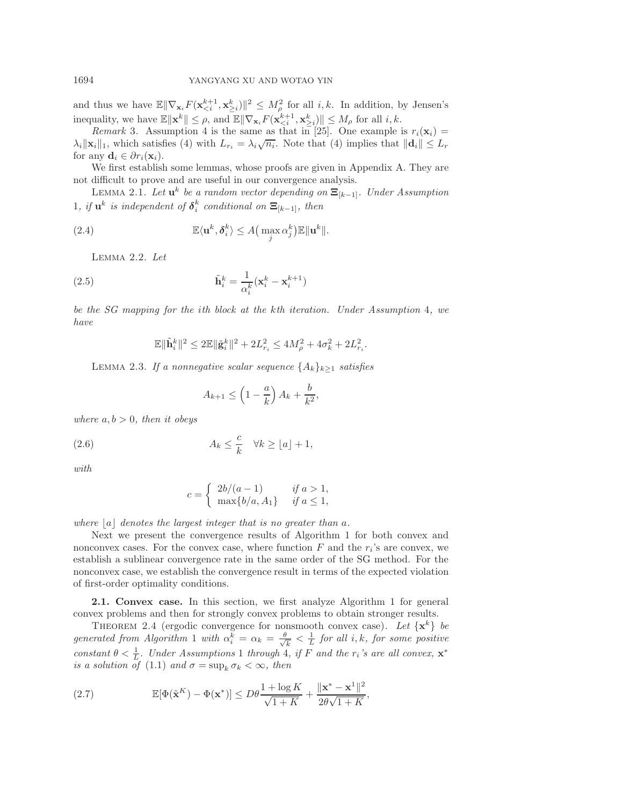and thus we have  $\mathbb{E} \|\nabla_{\mathbf{x}_i} F(\mathbf{x}_{\leq i}^{k+1}, \mathbf{x}_{\geq i}^k)\|^2 \leq M_{\rho}^2$  for all *i*, *k*. In addition, by Jensen's inequality, we have  $\mathbb{E} \|\mathbf{x}^k\| \leq \rho$ , and  $\mathbb{E} \|\nabla_{\mathbf{x}_i} F(\mathbf{x}_{\leq i}^{k+1}, \mathbf{x}_{\geq i}^k) \| \leq M_\rho$  for all  $i, k$ .

<span id="page-8-4"></span>*Remark* 3. Assumption [4](#page-6-5) is the same as that in [\[25\]](#page-28-9). One example is  $r_i(\mathbf{x}_i)$  =  $\lambda_i \|\mathbf{x}_i\|_1$ , which satisfies [\(4\)](#page-6-5) with  $L_{r_i} = \lambda_i \sqrt{n_i}$ . Note that (4) implies that  $\|\mathbf{d}_i\| \leq L_r$ for any  $\mathbf{d}_i \in \partial r_i(\mathbf{x}_i)$ .

We first establish some lemmas, whose proofs are given in Appendix [A.](#page-26-0) They are not difficult to prove and are useful in our convergence analysis.

Lemma 2.1. *Let* **<sup>u</sup>**<sup>k</sup> *be a random vector depending on* **<sup>Ξ</sup>**[k−1]*. Under Assumption* [1](#page-6-0)*, if*  $\mathbf{u}^k$  *is independent of*  $\boldsymbol{\delta}_i^k$  *conditional on*  $\mathbf{\Xi}_{[k-1]}$ *, then* 

<span id="page-8-1"></span>(2.4) 
$$
\mathbb{E}\langle \mathbf{u}^k, \boldsymbol{\delta}_i^k \rangle \leq A \big( \max_j \alpha_j^k \big) \mathbb{E} \|\mathbf{u}^k\|.
$$

Lemma 2.2. *Let*

(2.5) 
$$
\tilde{\mathbf{h}}_i^k = \frac{1}{\alpha_i^k} (\mathbf{x}_i^k - \mathbf{x}_i^{k+1})
$$

*be the SG mapping for the* i*th block at the* k*th iteration. Under Assumption* [4](#page-6-5)*, we have*

<span id="page-8-3"></span>
$$
\mathbb{E} \|\tilde{\mathbf{h}}_i^k\|^2 \le 2\mathbb{E} \|\tilde{\mathbf{g}}_i^k\|^2 + 2L_{r_i}^2 \le 4M_{\rho}^2 + 4\sigma_k^2 + 2L_{r_i}^2.
$$

<span id="page-8-2"></span>LEMMA 2.3. *If a nonnegative scalar sequence*  $\{A_k\}_{k\geq 1}$  *satisfies* 

<span id="page-8-5"></span><span id="page-8-0"></span>
$$
A_{k+1} \le \left(1 - \frac{a}{k}\right) A_k + \frac{b}{k^2},
$$

*where*  $a, b > 0$ *, then it obeys* 

(2.6) 
$$
A_k \leq \frac{c}{k} \quad \forall k \geq \lfloor a \rfloor + 1,
$$

*with*

$$
c = \begin{cases} 2b/(a-1) & \text{if } a > 1, \\ \max\{b/a, A_1\} & \text{if } a \le 1, \end{cases}
$$

*where*  $|a|$  *denotes the largest integer that is no greater than*  $a$ .

Next we present the convergence results of Algorithm [1](#page-2-0) for both convex and nonconvex cases. For the convex case, where function  $F$  and the  $r_i$ 's are convex, we establish a sublinear convergence rate in the same order of the SG method. For the nonconvex case, we establish the convergence result in terms of the expected violation of first-order optimality conditions.

**2.1. Convex case.** In this section, we first analyze Algorithm [1](#page-2-0) for general convex problems and then for strongly convex problems to obtain stronger results.

THEOREM 2.4 (ergodic convergence for nonsmooth convex case). Let  $\{x^k\}$  be  $generated from Algorithm 1 with  $\alpha_i^k = \alpha_k = \frac{\theta}{\sqrt{k}} < \frac{1}{L}$  for all *i, k, for some positive*$  $generated from Algorithm 1 with  $\alpha_i^k = \alpha_k = \frac{\theta}{\sqrt{k}} < \frac{1}{L}$  for all *i, k, for some positive*$  $generated from Algorithm 1 with  $\alpha_i^k = \alpha_k = \frac{\theta}{\sqrt{k}} < \frac{1}{L}$  for all *i, k, for some positive*$ *constant*  $\theta < \frac{1}{L}$  $\theta < \frac{1}{L}$  $\theta < \frac{1}{L}$ *. Under Assumptions* 1 *through* [4](#page-6-5)*, if* F *and the* r<sub>*i*</sub>'s are all convex,  $\mathbf{x}^*$ *is a solution of* [\(1.1\)](#page-0-0) *and*  $\sigma = \sup_k \sigma_k < \infty$ *, then* 

(2.7) 
$$
\mathbb{E}[\Phi(\tilde{\mathbf{x}}^K) - \Phi(\mathbf{x}^*)] \leq D\theta \frac{1 + \log K}{\sqrt{1 + K}} + \frac{\|\mathbf{x}^* - \mathbf{x}^1\|^2}{2\theta\sqrt{1 + K}},
$$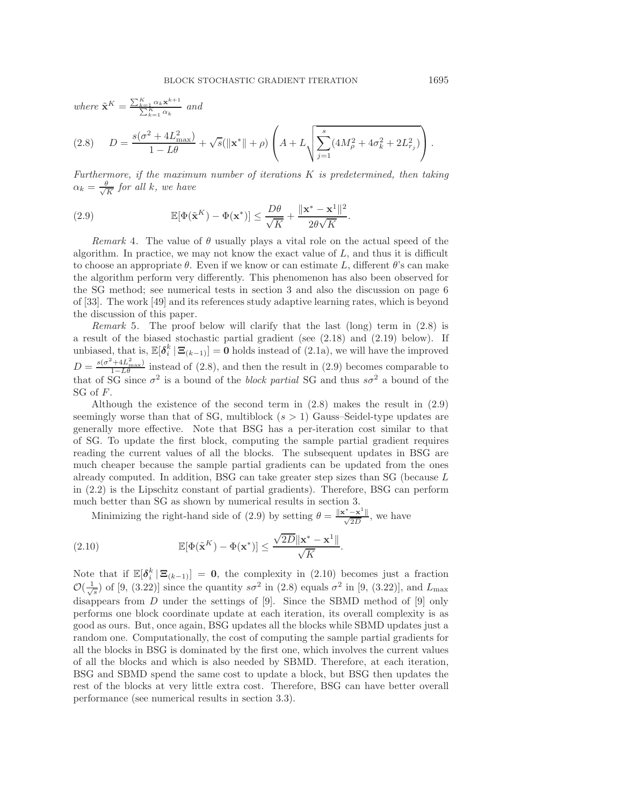<span id="page-9-1"></span>*where*  $\tilde{\mathbf{x}}^K = \frac{\sum_{k=1}^K \alpha_k \mathbf{x}^{k+1}}{\sum_{k=1}^K \alpha_k}$  *and* 

$$
(2.8) \tD = \frac{s(\sigma^2 + 4L_{\text{max}}^2)}{1 - L\theta} + \sqrt{s}(\|\mathbf{x}^*\| + \rho) \left(A + L\sqrt{\sum_{j=1}^s (4M_\rho^2 + 4\sigma_k^2 + 2L_{r_j}^2)}\right).
$$

<span id="page-9-2"></span>*Furthermore, if the maximum number of iterations* K *is predetermined, then taking*  $\alpha_k = \frac{\theta}{\sqrt{K}}$  for all k, we have

(2.9) 
$$
\mathbb{E}[\Phi(\tilde{\mathbf{x}}^K) - \Phi(\mathbf{x}^*)] \leq \frac{D\theta}{\sqrt{K}} + \frac{\|\mathbf{x}^* - \mathbf{x}^1\|^2}{2\theta\sqrt{K}}.
$$

*Remark* 4. The value of  $\theta$  usually plays a vital role on the actual speed of the algorithm. In practice, we may not know the exact value of  $L$ , and thus it is difficult to choose an appropriate  $\theta$ . Even if we know or can estimate L, different  $\theta$ 's can make the algorithm perform very differently. This phenomenon has also been observed for the SG method; see numerical tests in section [3](#page-20-0) and also the discussion on page 6 of [\[33\]](#page-29-4). The work [\[49\]](#page-29-25) and its references study adaptive learning rates, which is beyond the discussion of this paper.

<span id="page-9-0"></span>*Remark* 5. The proof below will clarify that the last (long) term in [\(2.8\)](#page-9-1) is a result of the biased stochastic partial gradient (see [\(2.18\)](#page-11-0) and [\(2.19\)](#page-11-1) below). If unbiased, that is,  $\mathbb{E}[\delta_i^k | \Xi_{(k-1)}] = \mathbf{0}$  holds instead of [\(2.1a\)](#page-6-1), we will have the improved  $D = \frac{s(\sigma^2 + 4L_{\text{max}}^2)}{1 - L\theta}$  instead of [\(2.8\)](#page-9-1), and then the result in [\(2.9\)](#page-9-2) becomes comparable to that of SG since  $\sigma^2$  is a bound of the *block partial* SG and thus  $s\sigma^2$  a bound of the SG of F.

Although the existence of the second term in [\(2.8\)](#page-9-1) makes the result in [\(2.9\)](#page-9-2) seemingly worse than that of SG, multiblock  $(s > 1)$  Gauss–Seidel-type updates are generally more effective. Note that BSG has a per-iteration cost similar to that of SG. To update the first block, computing the sample partial gradient requires reading the current values of all the blocks. The subsequent updates in BSG are much cheaper because the sample partial gradients can be updated from the ones already computed. In addition, BSG can take greater step sizes than SG (because L in [\(2.2\)](#page-6-6) is the Lipschitz constant of partial gradients). Therefore, BSG can perform much better than SG as shown by numerical results in section [3.](#page-20-0)

<span id="page-9-3"></span>Minimizing the right-hand side of [\(2.9\)](#page-9-2) by setting  $\theta = \frac{\|\mathbf{x}^* - \mathbf{x}^1\|}{\sqrt{2D}}$ , we have

(2.10) 
$$
\mathbb{E}[\Phi(\tilde{\mathbf{x}}^K) - \Phi(\mathbf{x}^*)] \leq \frac{\sqrt{2D} \|\mathbf{x}^* - \mathbf{x}^1\|}{\sqrt{K}}.
$$

Note that if  $\mathbb{E}[\delta_i^k | \mathbf{\Xi}_{(k-1)}] = \mathbf{0}$ , the complexity in [\(2.10\)](#page-9-3) becomes just a fraction  $\mathcal{O}(\frac{1}{\sqrt{s}})$  of [\[9,](#page-28-10) (3.22)] since the quantity  $s\sigma^2$  in [\(2.8\)](#page-9-1) equals  $\sigma^2$  in [9, (3.22)], and  $L_{\text{max}}$ disappears from D under the settings of [\[9\]](#page-28-10). Since the SBMD method of [\[9\]](#page-28-10) only performs one block coordinate update at each iteration, its overall complexity is as good as ours. But, once again, BSG updates all the blocks while SBMD updates just a random one. Computationally, the cost of computing the sample partial gradients for all the blocks in BSG is dominated by the first one, which involves the current values of all the blocks and which is also needed by SBMD. Therefore, at each iteration, BSG and SBMD spend the same cost to update a block, but BSG then updates the rest of the blocks at very little extra cost. Therefore, BSG can have better overall performance (see numerical results in section [3.3\)](#page-22-0).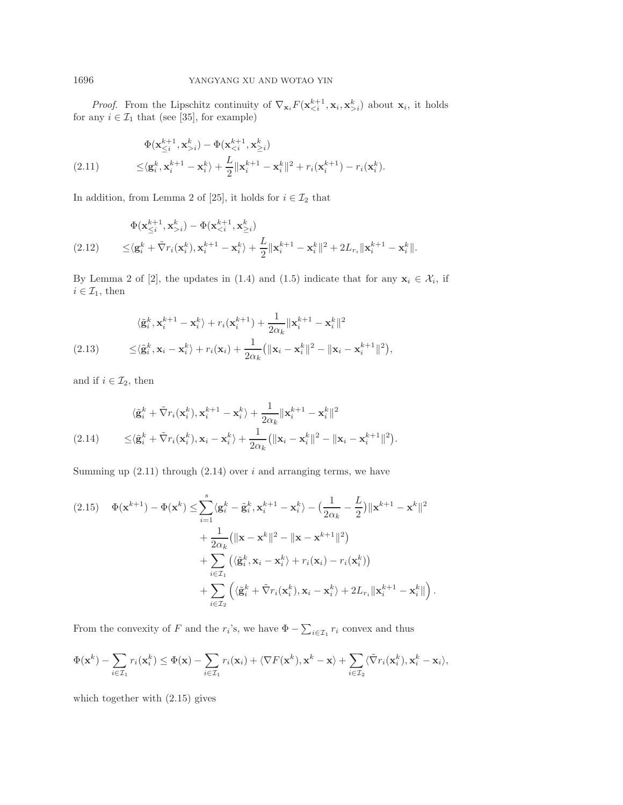*Proof.* From the Lipschitz continuity of  $\nabla_{\mathbf{x}_i} F(\mathbf{x}_{\leq i}^{k+1}, \mathbf{x}_i, \mathbf{x}_{\geq i}^k)$  about  $\mathbf{x}_i$ , it holds for any  $i \in \mathcal{I}_1$  that (see [\[35\]](#page-29-26), for example)

<span id="page-10-0"></span>(2.11) 
$$
\Phi(\mathbf{x}_{\leq i}^{k+1}, \mathbf{x}_{>i}^k) - \Phi(\mathbf{x}_{
$$
\leq \langle \mathbf{g}_i^k, \mathbf{x}_i^{k+1} - \mathbf{x}_i^k \rangle + \frac{L}{2} ||\mathbf{x}_i^{k+1} - \mathbf{x}_i^k||^2 + r_i(\mathbf{x}_i^{k+1}) - r_i(\mathbf{x}_i^k).
$$
$$

In addition, from Lemma 2 of [\[25\]](#page-28-9), it holds for  $i\in \mathcal{I}_2$  that

$$
\Phi(\mathbf{x}_{\leq i}^{k+1}, \mathbf{x}_{>i}^k) - \Phi(\mathbf{x}_{\n
$$
\leq \langle \mathbf{g}_i^k + \tilde{\nabla} r_i(\mathbf{x}_i^k), \mathbf{x}_i^{k+1} - \mathbf{x}_i^k \rangle + \frac{L}{2} \|\mathbf{x}_i^{k+1} - \mathbf{x}_i^k\|^2 + 2L_{r_i} \|\mathbf{x}_i^{k+1} - \mathbf{x}_i^k\|.
$$
$$

By Lemma 2 of [\[2\]](#page-28-25), the updates in [\(1.4\)](#page-2-2) and [\(1.5\)](#page-2-1) indicate that for any  $\mathbf{x}_i \in \mathcal{X}_i$ , if  $i \in \mathcal{I}_1$ , then

$$
\langle \tilde{\mathbf{g}}_i^k, \mathbf{x}_i^{k+1} - \mathbf{x}_i^k \rangle + r_i(\mathbf{x}_i^{k+1}) + \frac{1}{2\alpha_k} ||\mathbf{x}_i^{k+1} - \mathbf{x}_i^k||^2
$$
  
(2.13) 
$$
\leq \langle \tilde{\mathbf{g}}_i^k, \mathbf{x}_i - \mathbf{x}_i^k \rangle + r_i(\mathbf{x}_i) + \frac{1}{2\alpha_k} (||\mathbf{x}_i - \mathbf{x}_i^k||^2 - ||\mathbf{x}_i - \mathbf{x}_i^{k+1}||^2),
$$

and if  $i \in \mathcal{I}_2$ , then

<span id="page-10-1"></span>
$$
\langle \tilde{\mathbf{g}}_i^k + \tilde{\nabla} r_i(\mathbf{x}_i^k), \mathbf{x}_i^{k+1} - \mathbf{x}_i^k \rangle + \frac{1}{2\alpha_k} ||\mathbf{x}_i^{k+1} - \mathbf{x}_i^k||^2
$$
  
(2.14) 
$$
\leq \langle \tilde{\mathbf{g}}_i^k + \tilde{\nabla} r_i(\mathbf{x}_i^k), \mathbf{x}_i - \mathbf{x}_i^k \rangle + \frac{1}{2\alpha_k} (||\mathbf{x}_i - \mathbf{x}_i^k||^2 - ||\mathbf{x}_i - \mathbf{x}_i^{k+1}||^2).
$$

Summing up  $(2.11)$  through  $(2.14)$  over i and arranging terms, we have

<span id="page-10-2"></span>
$$
(2.15) \quad \Phi(\mathbf{x}^{k+1}) - \Phi(\mathbf{x}^k) \leq \sum_{i=1}^s \langle \mathbf{g}_i^k - \tilde{\mathbf{g}}_i^k, \mathbf{x}_i^{k+1} - \mathbf{x}_i^k \rangle - \left( \frac{1}{2\alpha_k} - \frac{L}{2} \right) ||\mathbf{x}^{k+1} - \mathbf{x}^k||^2 + \frac{1}{2\alpha_k} (||\mathbf{x} - \mathbf{x}^k||^2 - ||\mathbf{x} - \mathbf{x}^{k+1}||^2) + \sum_{i \in \mathcal{I}_1} \left( \langle \tilde{\mathbf{g}}_i^k, \mathbf{x}_i - \mathbf{x}_i^k \rangle + r_i(\mathbf{x}_i) - r_i(\mathbf{x}_i^k) \right) + \sum_{i \in \mathcal{I}_2} \left( \langle \tilde{\mathbf{g}}_i^k + \tilde{\nabla} r_i(\mathbf{x}_i^k), \mathbf{x}_i - \mathbf{x}_i^k \rangle + 2L_{r_i} ||\mathbf{x}_i^{k+1} - \mathbf{x}_i^k|| \right).
$$

From the convexity of F and the  $r_i$ 's, we have  $\Phi - \sum_{i \in \mathcal{I}_1} r_i$  convex and thus

$$
\Phi(\mathbf{x}^k) - \sum_{i \in \mathcal{I}_1} r_i(\mathbf{x}_i^k) \leq \Phi(\mathbf{x}) - \sum_{i \in \mathcal{I}_1} r_i(\mathbf{x}_i) + \langle \nabla F(\mathbf{x}^k), \mathbf{x}^k - \mathbf{x} \rangle + \sum_{i \in \mathcal{I}_2} \langle \tilde{\nabla} r_i(\mathbf{x}_i^k), \mathbf{x}_i^k - \mathbf{x}_i \rangle,
$$

which together with [\(2.15\)](#page-10-2) gives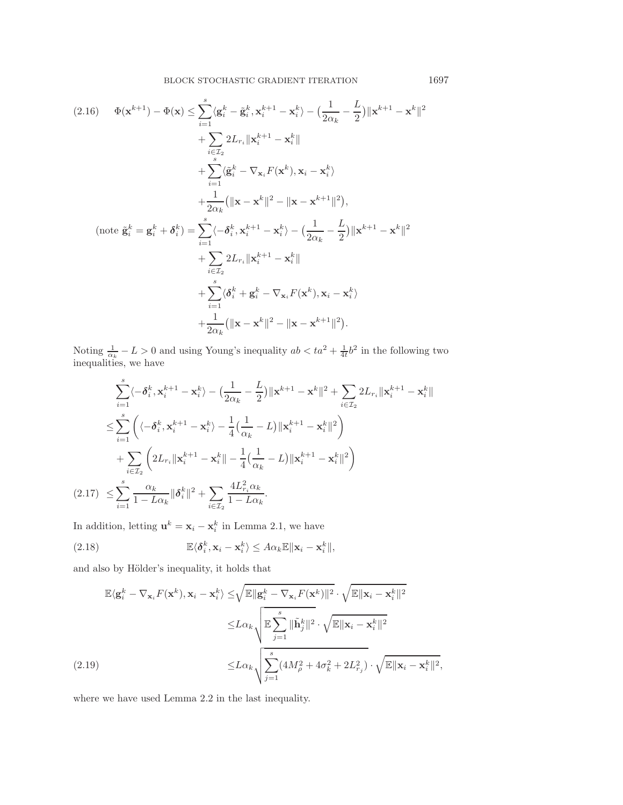<span id="page-11-2"></span>
$$
(2.16) \quad \Phi(\mathbf{x}^{k+1}) - \Phi(\mathbf{x}) \leq \sum_{i=1}^{s} \langle \mathbf{g}_{i}^{k} - \tilde{\mathbf{g}}_{i}^{k}, \mathbf{x}_{i}^{k+1} - \mathbf{x}_{i}^{k} \rangle - \left( \frac{1}{2\alpha_{k}} - \frac{L}{2} \right) ||\mathbf{x}^{k+1} - \mathbf{x}^{k}||^{2}
$$
\n
$$
+ \sum_{i \in \mathcal{I}_{2}} 2L_{r_{i}} ||\mathbf{x}_{i}^{k+1} - \mathbf{x}_{i}^{k}||
$$
\n
$$
+ \sum_{i=1}^{s} \langle \tilde{\mathbf{g}}_{i}^{k} - \nabla_{\mathbf{x}_{i}} F(\mathbf{x}^{k}), \mathbf{x}_{i} - \mathbf{x}_{i}^{k} \rangle
$$
\n
$$
+ \frac{1}{2\alpha_{k}} (||\mathbf{x} - \mathbf{x}^{k}||^{2} - ||\mathbf{x} - \mathbf{x}^{k+1}||^{2}),
$$
\n
$$
(\text{note } \tilde{\mathbf{g}}_{i}^{k} = \mathbf{g}_{i}^{k} + \boldsymbol{\delta}_{i}^{k}) = \sum_{i=1}^{s} \langle -\boldsymbol{\delta}_{i}^{k}, \mathbf{x}_{i}^{k+1} - \mathbf{x}_{i}^{k} \rangle - \left( \frac{1}{2\alpha_{k}} - \frac{L}{2} \right) ||\mathbf{x}^{k+1} - \mathbf{x}^{k}||^{2}
$$
\n
$$
+ \sum_{i \in \mathcal{I}_{2}} 2L_{r_{i}} ||\mathbf{x}_{i}^{k+1} - \mathbf{x}_{i}^{k}||
$$
\n
$$
+ \sum_{i=1}^{s} \langle \boldsymbol{\delta}_{i}^{k} + \mathbf{g}_{i}^{k} - \nabla_{\mathbf{x}_{i}} F(\mathbf{x}^{k}), \mathbf{x}_{i} - \mathbf{x}_{i}^{k} \rangle
$$
\n
$$
+ \frac{1}{2\alpha_{k}} (||\mathbf{x} - \mathbf{x}^{k}||^{2} - ||\mathbf{x} - \mathbf{x}^{k+1}||^{2}).
$$

Noting  $\frac{1}{\alpha_k} - L > 0$  and using Young's inequality  $ab < ta^2 + \frac{1}{4t}b^2$  in the following two inequalities, we have

$$
\sum_{i=1}^{s} \langle -\delta_{i}^{k}, \mathbf{x}_{i}^{k+1} - \mathbf{x}_{i}^{k} \rangle - \left( \frac{1}{2\alpha_{k}} - \frac{L}{2} \right) ||\mathbf{x}^{k+1} - \mathbf{x}^{k}||^{2} + \sum_{i \in \mathcal{I}_{2}} 2L_{r_{i}} ||\mathbf{x}_{i}^{k+1} - \mathbf{x}_{i}^{k}||
$$
\n
$$
\leq \sum_{i=1}^{s} \left( \langle -\delta_{i}^{k}, \mathbf{x}_{i}^{k+1} - \mathbf{x}_{i}^{k} \rangle - \frac{1}{4} (\frac{1}{\alpha_{k}} - L) ||\mathbf{x}_{i}^{k+1} - \mathbf{x}_{i}^{k}||^{2} \right)
$$
\n
$$
+ \sum_{i \in \mathcal{I}_{2}} \left( 2L_{r_{i}} ||\mathbf{x}_{i}^{k+1} - \mathbf{x}_{i}^{k}|| - \frac{1}{4} (\frac{1}{\alpha_{k}} - L) ||\mathbf{x}_{i}^{k+1} - \mathbf{x}_{i}^{k}||^{2} \right)
$$
\n
$$
(2.17) \leq \sum_{i=1}^{s} \frac{\alpha_{k}}{1 - L\alpha_{k}} ||\delta_{i}^{k}||^{2} + \sum_{i \in \mathcal{I}_{2}} \frac{4L_{r_{i}}^{2} \alpha_{k}}{1 - L\alpha_{k}}.
$$

<span id="page-11-3"></span>In addition, letting  $\mathbf{u}^k = \mathbf{x}_i - \mathbf{x}_i^k$  in Lemma [2.1,](#page-8-0) we have

<span id="page-11-0"></span>(2.18) 
$$
\mathbb{E}\langle \delta_i^k, \mathbf{x}_i - \mathbf{x}_i^k \rangle \leq A\alpha_k \mathbb{E} \|\mathbf{x}_i - \mathbf{x}_i^k\|,
$$

and also by Hölder's inequality, it holds that

$$
\mathbb{E}\langle \mathbf{g}_i^k - \nabla_{\mathbf{x}_i} F(\mathbf{x}^k), \mathbf{x}_i - \mathbf{x}_i^k \rangle \leq \sqrt{\mathbb{E} \|\mathbf{g}_i^k - \nabla_{\mathbf{x}_i} F(\mathbf{x}^k)\|^2} \cdot \sqrt{\mathbb{E} \|\mathbf{x}_i - \mathbf{x}_i^k\|^2}
$$
  

$$
\leq L\alpha_k \sqrt{\mathbb{E} \sum_{j=1}^s \|\tilde{\mathbf{h}}_j^k\|^2} \cdot \sqrt{\mathbb{E} \|\mathbf{x}_i - \mathbf{x}_i^k\|^2}
$$
  
(2.19)  

$$
\leq L\alpha_k \sqrt{\sum_{j=1}^s (4M_\rho^2 + 4\sigma_k^2 + 2L_{r_j}^2)} \cdot \sqrt{\mathbb{E} \|\mathbf{x}_i - \mathbf{x}_i^k\|^2},
$$

<span id="page-11-1"></span>where we have used Lemma [2.2](#page-8-1) in the last inequality.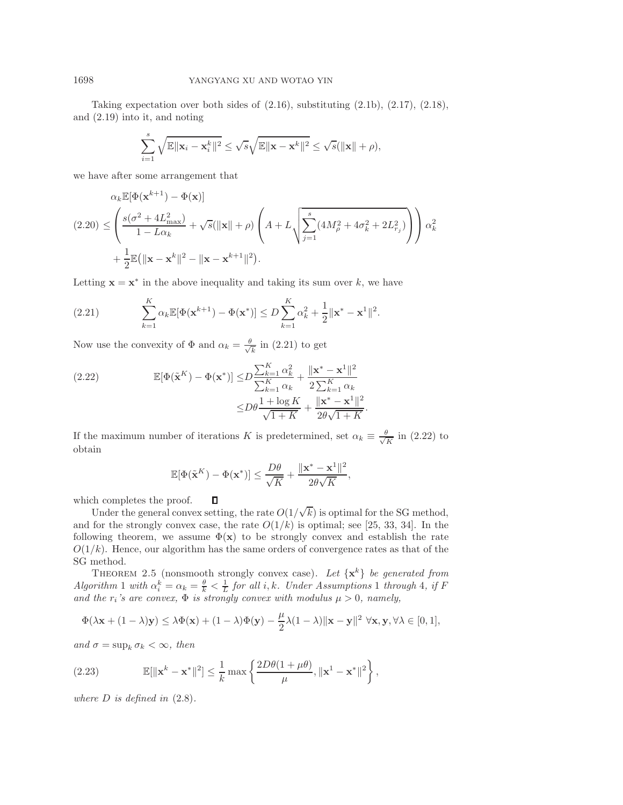Taking expectation over both sides of  $(2.16)$ , substituting  $(2.1b)$ ,  $(2.17)$ ,  $(2.18)$ , and [\(2.19\)](#page-11-1) into it, and noting

$$
\sum_{i=1}^s \sqrt{\mathbb{E}||\mathbf{x}_i - \mathbf{x}_i^k||^2} \le \sqrt{s} \sqrt{\mathbb{E}||\mathbf{x} - \mathbf{x}^k||^2} \le \sqrt{s}(||\mathbf{x}|| + \rho),
$$

we have after some arrangement that

<span id="page-12-2"></span>
$$
\alpha_k \mathbb{E}[\Phi(\mathbf{x}^{k+1}) - \Phi(\mathbf{x})]
$$
  
(2.20) 
$$
\leq \left(\frac{s(\sigma^2 + 4L_{\text{max}}^2)}{1 - L\alpha_k} + \sqrt{s}(\|\mathbf{x}\| + \rho) \left(A + L\sqrt{\sum_{j=1}^s (4M_{\rho}^2 + 4\sigma_k^2 + 2L_{\tau_j}^2)}\right)\right)\alpha_k^2
$$

$$
+ \frac{1}{2}\mathbb{E}(\|\mathbf{x} - \mathbf{x}^k\|^2 - \|\mathbf{x} - \mathbf{x}^{k+1}\|^2).
$$

Letting  $\mathbf{x} = \mathbf{x}^*$  in the above inequality and taking its sum over k, we have

<span id="page-12-0"></span>(2.21) 
$$
\sum_{k=1}^{K} \alpha_k \mathbb{E}[\Phi(\mathbf{x}^{k+1}) - \Phi(\mathbf{x}^*)] \le D \sum_{k=1}^{K} \alpha_k^2 + \frac{1}{2} ||\mathbf{x}^* - \mathbf{x}^1||^2.
$$

Now use the convexity of  $\Phi$  and  $\alpha_k = \frac{\theta}{\sqrt{k}}$  in [\(2.21\)](#page-12-0) to get

<span id="page-12-1"></span>(2.22) 
$$
\mathbb{E}[\Phi(\tilde{\mathbf{x}}^K) - \Phi(\mathbf{x}^*)] \le D \frac{\sum_{k=1}^K \alpha_k^2}{\sum_{k=1}^K \alpha_k} + \frac{\|\mathbf{x}^* - \mathbf{x}^1\|^2}{2 \sum_{k=1}^K \alpha_k} \le D \theta \frac{1 + \log K}{\sqrt{1 + K}} + \frac{\|\mathbf{x}^* - \mathbf{x}^1\|^2}{2\theta\sqrt{1 + K}}.
$$

If the maximum number of iterations K is predetermined, set  $\alpha_k \equiv \frac{\theta}{\sqrt{K}}$  in [\(2.22\)](#page-12-1) to obtain

$$
\mathbb{E}[\Phi(\tilde{\mathbf{x}}^K) - \Phi(\mathbf{x}^*)] \le \frac{D\theta}{\sqrt{K}} + \frac{\|\mathbf{x}^* - \mathbf{x}^1\|^2}{2\theta\sqrt{K}},
$$

 $\Box$ which completes the proof.

Under the general convex setting, the rate  $O(1)$ √ k) is optimal for the SG method, and for the strongly convex case, the rate  $O(1/k)$  is optimal; see [\[25,](#page-28-9) [33,](#page-29-4) [34\]](#page-29-23). In the following theorem, we assume  $\Phi(\mathbf{x})$  to be strongly convex and establish the rate  $O(1/k)$ . Hence, our algorithm has the same orders of convergence rates as that of the SG method.

THEOREM 2.5 (nonsmooth strongly convex case). Let  $\{x^k\}$  be generated from  $Algorithm\ 1\ with\ \alpha_i^k = \alpha_k = \frac{\theta}{k} < \frac{1}{L}$  $Algorithm\ 1\ with\ \alpha_i^k = \alpha_k = \frac{\theta}{k} < \frac{1}{L}$  $Algorithm\ 1\ with\ \alpha_i^k = \alpha_k = \frac{\theta}{k} < \frac{1}{L}$  for all i, k. Under Assumptions 1 through [4](#page-6-5), if F *and the*  $r_i$ *'s are convex,*  $\Phi$  *is strongly convex with modulus*  $\mu > 0$ *, namely,* 

$$
\Phi(\lambda {\bf x} + (1-\lambda) {\bf y}) \leq \lambda \Phi({\bf x}) + (1-\lambda) \Phi({\bf y}) - \frac{\mu}{2} \lambda (1-\lambda) \|{\bf x} - {\bf y}\|^2 \ \forall {\bf x}, {\bf y}, \forall \lambda \in [0,1],
$$

*and*  $\sigma = \sup_k \sigma_k < \infty$ *, then* 

(2.23) 
$$
\mathbb{E}[\|\mathbf{x}^k - \mathbf{x}^*\|^2] \leq \frac{1}{k} \max\left\{\frac{2D\theta(1+\mu\theta)}{\mu}, \|\mathbf{x}^1 - \mathbf{x}^*\|^2\right\},
$$

*where* D *is defined in* [\(2.8\)](#page-9-1)*.*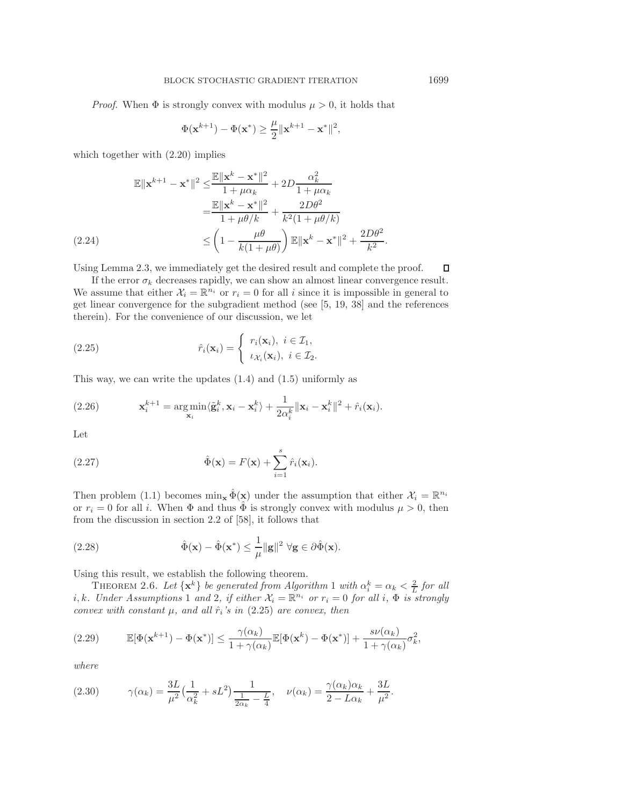*Proof.* When  $\Phi$  is strongly convex with modulus  $\mu > 0$ , it holds that

<span id="page-13-0"></span>
$$
\Phi(\mathbf{x}^{k+1}) - \Phi(\mathbf{x}^*) \geq \frac{\mu}{2} \|\mathbf{x}^{k+1} - \mathbf{x}^*\|^2,
$$

which together with [\(2.20\)](#page-12-2) implies

$$
\mathbb{E} \|\mathbf{x}^{k+1} - \mathbf{x}^*\|^2 \leq \frac{\mathbb{E} \|\mathbf{x}^k - \mathbf{x}^*\|^2}{1 + \mu \alpha_k} + 2D \frac{\alpha_k^2}{1 + \mu \alpha_k}
$$

$$
= \frac{\mathbb{E} \|\mathbf{x}^k - \mathbf{x}^*\|^2}{1 + \mu \theta/k} + \frac{2D\theta^2}{k^2(1 + \mu \theta/k)}
$$

$$
\leq \left(1 - \frac{\mu \theta}{k(1 + \mu \theta)}\right) \mathbb{E} \|\mathbf{x}^k - \mathbf{x}^*\|^2 + \frac{2D\theta^2}{k^2}.
$$

Using Lemma [2.3,](#page-8-2) we immediately get the desired result and complete the proof.  $\Box$ 

If the error  $\sigma_k$  decreases rapidly, we can show an almost linear convergence result. We assume that either  $\mathcal{X}_i = \mathbb{R}^{n_i}$  or  $r_i = 0$  for all i since it is impossible in general to get linear convergence for the subgradient method (see [\[5,](#page-28-7) [19,](#page-28-8) [38\]](#page-29-17) and the references therein). For the convenience of our discussion, we let

(2.25) 
$$
\hat{r}_i(\mathbf{x}_i) = \begin{cases} r_i(\mathbf{x}_i), & i \in \mathcal{I}_1, \\ \iota_{\mathcal{X}_i}(\mathbf{x}_i), & i \in \mathcal{I}_2. \end{cases}
$$

This way, we can write the updates  $(1.4)$  and  $(1.5)$  uniformly as

<span id="page-13-6"></span>(2.26) 
$$
\mathbf{x}_{i}^{k+1} = \underset{\mathbf{x}_{i}}{\arg\min} \langle \tilde{\mathbf{g}}_{i}^{k}, \mathbf{x}_{i} - \mathbf{x}_{i}^{k} \rangle + \frac{1}{2\alpha_{i}^{k}} ||\mathbf{x}_{i} - \mathbf{x}_{i}^{k}||^{2} + \hat{r}_{i}(\mathbf{x}_{i}).
$$

<span id="page-13-5"></span>Let

(2.27) 
$$
\hat{\Phi}(\mathbf{x}) = F(\mathbf{x}) + \sum_{i=1}^{s} \hat{r}_i(\mathbf{x}_i).
$$

Then problem [\(1.1\)](#page-0-0) becomes  $\min_{\mathbf{x}} \hat{\Phi}(\mathbf{x})$  under the assumption that either  $\mathcal{X}_i = \mathbb{R}^{n_i}$ or  $r_i = 0$  for all i. When  $\Phi$  and thus  $\hat{\Phi}$  is strongly convex with modulus  $\mu > 0$ , then from the discussion in section 2.2 of [\[58\]](#page-30-1), it follows that

<span id="page-13-1"></span>(2.28) 
$$
\hat{\Phi}(\mathbf{x}) - \hat{\Phi}(\mathbf{x}^*) \leq \frac{1}{\mu} ||\mathbf{g}||^2 \ \forall \mathbf{g} \in \partial \hat{\Phi}(\mathbf{x}).
$$

<span id="page-13-3"></span>Using this result, we establish the following theorem.

THEOREM 2.6. Let  $\{x^k\}$  be generated from Algorithm [1](#page-2-0) with  $\alpha_i^k = \alpha_k < \frac{2}{L}$  for all i, k. Under Assumptions [1](#page-6-0) and [2](#page-6-4), if either  $\mathcal{X}_i = \mathbb{R}^{n_i}$  or  $r_i = 0$  for all i,  $\Phi$  is strongly *convex with constant*  $\mu$ *, and all*  $\hat{r}_i$ *'s in* [\(2.25\)](#page-13-0) *are convex, then* 

<span id="page-13-2"></span>
$$
(2.29) \qquad \mathbb{E}[\Phi(\mathbf{x}^{k+1}) - \Phi(\mathbf{x}^*)] \le \frac{\gamma(\alpha_k)}{1 + \gamma(\alpha_k)} \mathbb{E}[\Phi(\mathbf{x}^k) - \Phi(\mathbf{x}^*)] + \frac{s\nu(\alpha_k)}{1 + \gamma(\alpha_k)} \sigma_k^2,
$$

<span id="page-13-4"></span>*where*

(2.30) 
$$
\gamma(\alpha_k) = \frac{3L}{\mu^2} \left( \frac{1}{\alpha_k^2} + sL^2 \right) \frac{1}{\frac{1}{2\alpha_k} - \frac{L}{4}}, \quad \nu(\alpha_k) = \frac{\gamma(\alpha_k)\alpha_k}{2 - L\alpha_k} + \frac{3L}{\mu^2}.
$$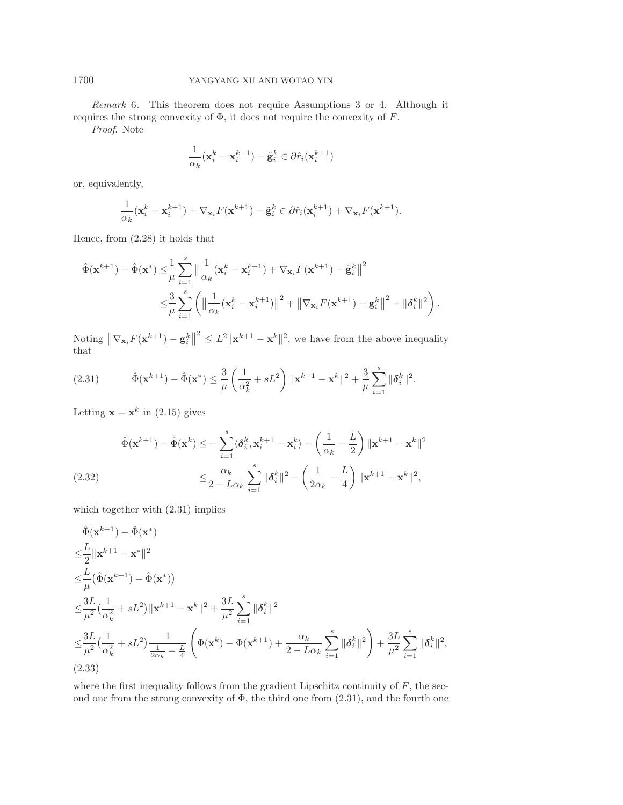*Remark* 6. This theorem does not require Assumptions [3](#page-6-3) or [4.](#page-6-5) Although it requires the strong convexity of  $\Phi$ , it does not require the convexity of  $F$ .

*Proof*. Note

$$
\frac{1}{\alpha_k}(\mathbf{x}_i^k - \mathbf{x}_i^{k+1}) - \tilde{\mathbf{g}}_i^k \in \partial \hat{r}_i(\mathbf{x}_i^{k+1})
$$

or, equivalently,

$$
\frac{1}{\alpha_k}(\mathbf{x}_i^k - \mathbf{x}_i^{k+1}) + \nabla_{\mathbf{x}_i} F(\mathbf{x}^{k+1}) - \tilde{\mathbf{g}}_i^k \in \partial \hat{r}_i(\mathbf{x}_i^{k+1}) + \nabla_{\mathbf{x}_i} F(\mathbf{x}^{k+1}).
$$

Hence, from [\(2.28\)](#page-13-1) it holds that

$$
\hat{\Phi}(\mathbf{x}^{k+1}) - \hat{\Phi}(\mathbf{x}^*) \leq \frac{1}{\mu} \sum_{i=1}^s \left\| \frac{1}{\alpha_k} (\mathbf{x}_i^k - \mathbf{x}_i^{k+1}) + \nabla_{\mathbf{x}_i} F(\mathbf{x}^{k+1}) - \tilde{\mathbf{g}}_i^k \right\|^2
$$
  

$$
\leq \frac{3}{\mu} \sum_{i=1}^s \left( \left\| \frac{1}{\alpha_k} (\mathbf{x}_i^k - \mathbf{x}_i^{k+1}) \right\|^2 + \left\| \nabla_{\mathbf{x}_i} F(\mathbf{x}^{k+1}) - \mathbf{g}_i^k \right\|^2 + \|\boldsymbol{\delta}_i^k\|^2 \right).
$$

<span id="page-14-0"></span>Noting  $\|\nabla_{\mathbf{x}_i} F(\mathbf{x}^{k+1}) - \mathbf{g}_i^k\|^2 \leq L^2 \|\mathbf{x}^{k+1} - \mathbf{x}^k\|^2$ , we have from the above inequality that

(2.31) 
$$
\hat{\Phi}(\mathbf{x}^{k+1}) - \hat{\Phi}(\mathbf{x}^*) \leq \frac{3}{\mu} \left( \frac{1}{\alpha_k^2} + sL^2 \right) \|\mathbf{x}^{k+1} - \mathbf{x}^k\|^2 + \frac{3}{\mu} \sum_{i=1}^s \|\boldsymbol{\delta}_i^k\|^2.
$$

Letting  $\mathbf{x} = \mathbf{x}^k$  in [\(2.15\)](#page-10-2) gives

$$
\hat{\Phi}(\mathbf{x}^{k+1}) - \hat{\Phi}(\mathbf{x}^k) \le -\sum_{i=1}^s \langle \delta_i^k, \mathbf{x}_i^{k+1} - \mathbf{x}_i^k \rangle - \left(\frac{1}{\alpha_k} - \frac{L}{2}\right) \|\mathbf{x}^{k+1} - \mathbf{x}^k\|^2
$$
\n
$$
\le \frac{\alpha_k}{2 - L\alpha_k} \sum_{i=1}^s \|\delta_i^k\|^2 - \left(\frac{1}{2\alpha_k} - \frac{L}{4}\right) \|\mathbf{x}^{k+1} - \mathbf{x}^k\|^2,
$$

<span id="page-14-1"></span>which together with  $(2.31)$  implies

$$
\hat{\Phi}(\mathbf{x}^{k+1}) - \hat{\Phi}(\mathbf{x}^{*})
$$
\n
$$
\leq \frac{L}{2} ||\mathbf{x}^{k+1} - \mathbf{x}^{*}||^{2}
$$
\n
$$
\leq \frac{L}{\mu} (\hat{\Phi}(\mathbf{x}^{k+1}) - \hat{\Phi}(\mathbf{x}^{*}))
$$
\n
$$
\leq \frac{3L}{\mu^{2}} \left( \frac{1}{\alpha_{k}^{2}} + sL^{2} \right) ||\mathbf{x}^{k+1} - \mathbf{x}^{k}||^{2} + \frac{3L}{\mu^{2}} \sum_{i=1}^{s} ||\delta_{i}^{k}||^{2}
$$
\n
$$
\leq \frac{3L}{\mu^{2}} \left( \frac{1}{\alpha_{k}^{2}} + sL^{2} \right) \frac{1}{\frac{1}{2\alpha_{k}} - \frac{L}{4}} \left( \Phi(\mathbf{x}^{k}) - \Phi(\mathbf{x}^{k+1}) + \frac{\alpha_{k}}{2 - L\alpha_{k}} \sum_{i=1}^{s} ||\delta_{i}^{k}||^{2} \right) + \frac{3L}{\mu^{2}} \sum_{i=1}^{s} ||\delta_{i}^{k}||^{2},
$$
\n(2.33)

<span id="page-14-2"></span>where the first inequality follows from the gradient Lipschitz continuity of  $F$ , the second one from the strong convexity of  $\Phi$ , the third one from  $(2.31)$ , and the fourth one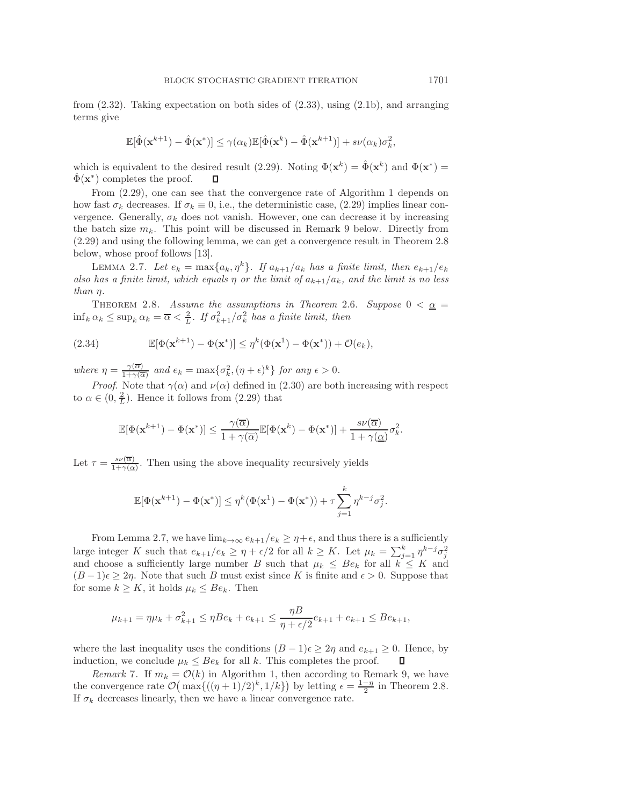from [\(2.32\)](#page-14-1). Taking expectation on both sides of [\(2.33\)](#page-14-2), using [\(2.1b\)](#page-6-2), and arranging terms give

$$
\mathbb{E}[\hat{\Phi}(\mathbf{x}^{k+1}) - \hat{\Phi}(\mathbf{x}^*)] \le \gamma(\alpha_k) \mathbb{E}[\hat{\Phi}(\mathbf{x}^k) - \hat{\Phi}(\mathbf{x}^{k+1})] + s\nu(\alpha_k)\sigma_k^2,
$$

which is equivalent to the desired result [\(2.29\)](#page-13-2). Noting  $\Phi(\mathbf{x}^k) = \hat{\Phi}(\mathbf{x}^k)$  and  $\Phi(\mathbf{x}^*) =$  $\Phi(\mathbf{x}^*)$  completes the proof. П

From [\(2.29\)](#page-13-2), one can see that the convergence rate of Algorithm [1](#page-2-0) depends on how fast  $\sigma_k$  decreases. If  $\sigma_k \equiv 0$ , i.e., the deterministic case, [\(2.29\)](#page-13-2) implies linear convergence. Generally,  $\sigma_k$  does not vanish. However, one can decrease it by increasing the batch size  $m_k$ . This point will be discussed in Remark [9](#page-20-1) below. Directly from [\(2.29\)](#page-13-2) and using the following lemma, we can get a convergence result in Theorem [2.8](#page-15-0) below, whose proof follows [\[13\]](#page-28-26).

<span id="page-15-1"></span>LEMMA 2.7. Let  $e_k = \max\{a_k, \eta^k\}$ . If  $a_{k+1}/a_k$  has a finite limit, then  $e_{k+1}/e_k$ *also has a finite limit, which equals*  $\eta$  *or the limit of*  $a_{k+1}/a_k$ *, and the limit is no less than* η*.*

<span id="page-15-0"></span>THEOREM 2.8. *Assume the assumptions in Theorem [2.6](#page-13-3). Suppose*  $0 < \underline{\alpha} =$  $\inf_k \alpha_k \leq \sup_k \alpha_k = \overline{\alpha} < \frac{2}{L}$ . If  $\sigma_{k+1}^2 / \sigma_k^2$  has a finite limit, then

(2.34) 
$$
\mathbb{E}[\Phi(\mathbf{x}^{k+1}) - \Phi(\mathbf{x}^*)] \leq \eta^k(\Phi(\mathbf{x}^1) - \Phi(\mathbf{x}^*)) + \mathcal{O}(e_k),
$$

*where*  $\eta = \frac{\gamma(\overline{\alpha})}{1+\gamma(\overline{\alpha})}$  *and*  $e_k = \max\{\sigma_k^2, (\eta + \epsilon)^k\}$  *for any*  $\epsilon > 0$ .

*Proof.* Note that  $\gamma(\alpha)$  and  $\nu(\alpha)$  defined in [\(2.30\)](#page-13-4) are both increasing with respect to  $\alpha \in (0, \frac{2}{L})$ . Hence it follows from  $(2.29)$  that

$$
\mathbb{E}[\Phi(\mathbf{x}^{k+1}) - \Phi(\mathbf{x}^*)] \leq \frac{\gamma(\overline{\alpha})}{1 + \gamma(\overline{\alpha})} \mathbb{E}[\Phi(\mathbf{x}^k) - \Phi(\mathbf{x}^*)] + \frac{s\nu(\overline{\alpha})}{1 + \gamma(\underline{\alpha})} \sigma_k^2.
$$

Let  $\tau = \frac{s\nu(\overline{\alpha})}{1+\gamma(\underline{\alpha})}$ . Then using the above inequality recursively yields

$$
\mathbb{E}[\Phi(\mathbf{x}^{k+1}) - \Phi(\mathbf{x}^*)] \leq \eta^k(\Phi(\mathbf{x}^1) - \Phi(\mathbf{x}^*)) + \tau \sum_{j=1}^k \eta^{k-j} \sigma_j^2.
$$

From Lemma [2.7,](#page-15-1) we have  $\lim_{k\to\infty} e_{k+1}/e_k \geq \eta + \epsilon$ , and thus there is a sufficiently large integer K such that  $e_{k+1}/e_k \geq \eta + \epsilon/2$  for all  $k \geq K$ . Let  $\mu_k = \sum_{j=1}^k \eta^{k-j} \sigma_j^2$  and choose a sufficiently large number B such that  $\mu_k \leq Be_k$  for all  $k \leq K$  and  $(B-1)\epsilon \geq 2\eta$ . Note that such B must exist since K is finite and  $\epsilon > 0$ . Suppose that for some  $k \geq K$ , it holds  $\mu_k \leq Be_k$ . Then

$$
\mu_{k+1} = \eta \mu_k + \sigma_{k+1}^2 \le \eta B e_k + e_{k+1} \le \frac{\eta B}{\eta + \epsilon/2} e_{k+1} + e_{k+1} \le B e_{k+1},
$$

where the last inequality uses the conditions  $(B - 1)\epsilon \geq 2\eta$  and  $e_{k+1} \geq 0$ . Hence, by induction, we conclude  $\mu_k \leq Be_k$  for all k. This completes the proof.  $\Box$ induction, we conclude  $\mu_k \leq Be_k$  for all k. This completes the proof.

*Remark* 7. If  $m_k = \mathcal{O}(k)$  in Algorithm [1,](#page-2-0) then according to Remark [9,](#page-20-1) we have the convergence rate  $\mathcal{O}(\max\{((\eta+1)/2)^k, 1/k\})$  by letting  $\epsilon = \frac{1-\eta}{2}$  in Theorem [2.8.](#page-15-0)<br>If  $\sigma_t$ , decreases linearly then we have a linear convergence rate If  $\sigma_k$  decreases linearly, then we have a linear convergence rate.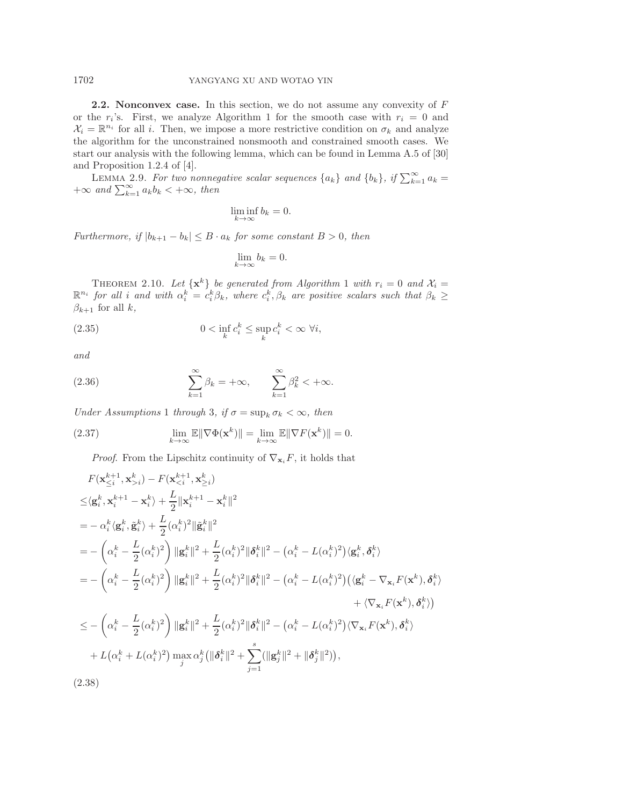**2.2. Nonconvex case.** In this section, we do not assume any convexity of F or the  $r_i$ 's. First, we analyze Algorithm [1](#page-2-0) for the smooth case with  $r_i = 0$  and  $\mathcal{X}_i = \mathbb{R}^{n_i}$  for all i. Then, we impose a more restrictive condition on  $\sigma_k$  and analyze the algorithm for the unconstrained nonsmooth and constrained smooth cases. We start our analysis with the following lemma, which can be found in Lemma A.5 of [\[30\]](#page-28-27) and Proposition 1.2.4 of [\[4\]](#page-28-28).

LEMMA 2.9. *For two nonnegative scalar sequences*  $\{a_k\}$  *and*  $\{b_k\}$ *, if*  $\sum_{k=1}^{\infty} a_k = +\infty$  *and*  $\sum_{k=1}^{\infty} a_k b_k < +\infty$ *, then* 

<span id="page-16-2"></span>
$$
\liminf_{k \to \infty} b_k = 0.
$$

*Furthermore, if*  $|b_{k+1} - b_k| \leq B \cdot a_k$  *for some constant*  $B > 0$ *, then* 

$$
\lim_{k \to \infty} b_k = 0.
$$

<span id="page-16-3"></span>THEOREM 2.[1](#page-2-0)0. Let  $\{x^k\}$  be generated from Algorithm 1 with  $r_i = 0$  and  $\mathcal{X}_i =$  $\mathbb{R}^{n_i}$  for all *i* and with  $\alpha_i^k = c_i^k \beta_k$ , where  $c_i^k, \beta_k$  are positive scalars such that  $\beta_k \geq$  $\beta_{k+1}$  for all k,

<span id="page-16-4"></span>(2.35) 
$$
0 < \inf_{k} c_i^k \leq \sup_{k} c_i^k < \infty \ \forall i,
$$

<span id="page-16-1"></span>*and*

(2.36) 
$$
\sum_{k=1}^{\infty} \beta_k = +\infty, \qquad \sum_{k=1}^{\infty} \beta_k^2 < +\infty.
$$

*Under Assumptions* [1](#page-6-0) *through* [3](#page-6-3)*, if*  $\sigma = \sup_k \sigma_k < \infty$ *, then* 

(2.37) 
$$
\lim_{k \to \infty} \mathbb{E} \|\nabla \Phi(\mathbf{x}^k)\| = \lim_{k \to \infty} \mathbb{E} \|\nabla F(\mathbf{x}^k)\| = 0.
$$

*Proof.* From the Lipschitz continuity of  $\nabla_{\mathbf{x}_i} F$ , it holds that

<span id="page-16-0"></span>
$$
F(\mathbf{x}_{\leq i}^{k+1}, \mathbf{x}_{>i}^{k}) - F(\mathbf{x}_{  
\n
$$
\leq \langle \mathbf{g}_{i}^{k}, \mathbf{x}_{i}^{k+1} - \mathbf{x}_{i}^{k} \rangle + \frac{L}{2} ||\mathbf{x}_{i}^{k+1} - \mathbf{x}_{i}^{k}||^{2}
$$
  
\n
$$
= - \alpha_{i}^{k} \langle \mathbf{g}_{i}^{k}, \tilde{\mathbf{g}}_{i}^{k} \rangle + \frac{L}{2} (\alpha_{i}^{k})^{2} ||\tilde{\mathbf{g}}_{i}^{k}||^{2}
$$
  
\n
$$
= - \left( \alpha_{i}^{k} - \frac{L}{2} (\alpha_{i}^{k})^{2} \right) ||\mathbf{g}_{i}^{k}||^{2} + \frac{L}{2} (\alpha_{i}^{k})^{2} ||\delta_{i}^{k}||^{2} - (\alpha_{i}^{k} - L(\alpha_{i}^{k})^{2}) \langle \mathbf{g}_{i}^{k}, \delta_{i}^{k} \rangle
$$
  
\n
$$
= - \left( \alpha_{i}^{k} - \frac{L}{2} (\alpha_{i}^{k})^{2} \right) ||\mathbf{g}_{i}^{k}||^{2} + \frac{L}{2} (\alpha_{i}^{k})^{2} ||\delta_{i}^{k}||^{2} - (\alpha_{i}^{k} - L(\alpha_{i}^{k})^{2}) (\langle \mathbf{g}_{i}^{k} - \nabla_{\mathbf{x}_{i}} F(\mathbf{x}^{k}), \delta_{i}^{k} \rangle
$$
  
\n
$$
\leq - \left( \alpha_{i}^{k} - \frac{L}{2} (\alpha_{i}^{k})^{2} \right) ||\mathbf{g}_{i}^{k}||^{2} + \frac{L}{2} (\alpha_{i}^{k})^{2} ||\delta_{i}^{k}||^{2} - (\alpha_{i}^{k} - L(\alpha_{i}^{k})^{2}) \langle \nabla_{\mathbf{x}_{i}} F(\mathbf{x}^{k}), \delta_{i}^{k} \rangle
$$
  
\n
$$
+ L(\alpha_{i}^{k} - L(\alpha_{i}^{k})^{2}) \max_{j} \alpha_{j}^{k} (||\delta_{i}^{k}||^{2} + \sum_{j=1}^{s} (
$$
$$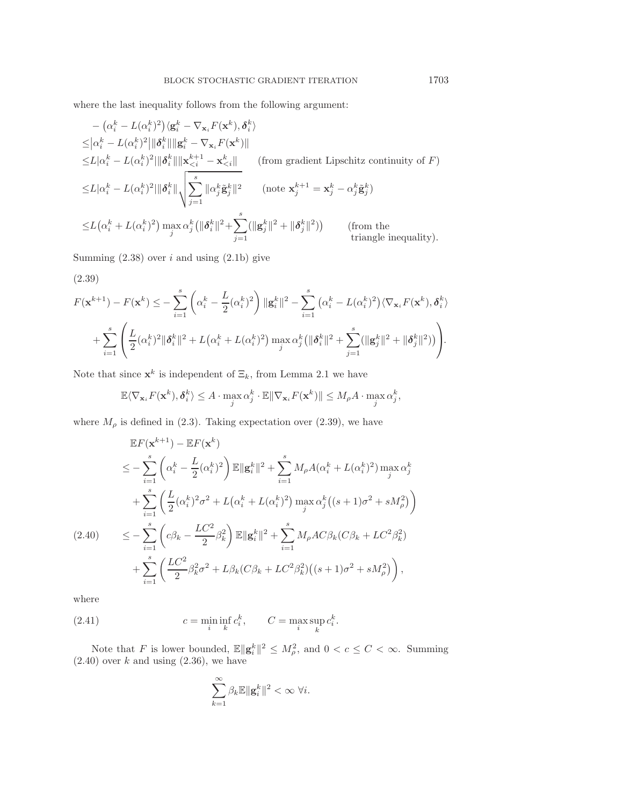where the last inequality follows from the following argument:

$$
- \left(\alpha_i^k - L(\alpha_i^k)^2\right) \langle \mathbf{g}_i^k - \nabla_{\mathbf{x}_i} F(\mathbf{x}^k), \delta_i^k \rangle
$$
  
\n
$$
\leq |\alpha_i^k - L(\alpha_i^k)^2| \|\delta_i^k\| \|\mathbf{g}_i^k - \nabla_{\mathbf{x}_i} F(\mathbf{x}^k)\|
$$
  
\n
$$
\leq L|\alpha_i^k - L(\alpha_i^k)^2| \|\delta_i^k\| \|\mathbf{x}_{\leq i}^{k+1} - \mathbf{x}_{\leq i}^k\|
$$
 (from gradient Lipschitz continuity of  $F$ )  
\n
$$
\leq L|\alpha_i^k - L(\alpha_i^k)^2| \|\delta_i^k\| \sqrt{\sum_{j=1}^s \|\alpha_j^k \tilde{\mathbf{g}}_j^k\|^2}
$$
 (note  $\mathbf{x}_j^{k+1} = \mathbf{x}_j^k - \alpha_j^k \tilde{\mathbf{g}}_j^k$ )  
\n
$$
\leq L(\alpha_i^k + L(\alpha_i^k)^2) \max_j \alpha_j^k \left( \|\delta_i^k\|^2 + \sum_{j=1}^s (\|\mathbf{g}_j^k\|^2 + \|\delta_j^k\|^2) \right)
$$
 (from the triangle inequality).

Summing  $(2.38)$  over i and using  $(2.1b)$  give

$$
(2.39)
$$

<span id="page-17-0"></span>
$$
F(\mathbf{x}^{k+1}) - F(\mathbf{x}^{k}) \leq -\sum_{i=1}^{s} \left( \alpha_{i}^{k} - \frac{L}{2} (\alpha_{i}^{k})^{2} \right) \|\mathbf{g}_{i}^{k}\|^{2} - \sum_{i=1}^{s} \left( \alpha_{i}^{k} - L (\alpha_{i}^{k})^{2} \right) \langle \nabla_{\mathbf{x}_{i}} F(\mathbf{x}^{k}), \delta_{i}^{k} \rangle
$$
  
+ 
$$
\sum_{i=1}^{s} \left( \frac{L}{2} (\alpha_{i}^{k})^{2} \|\delta_{i}^{k}\|^{2} + L (\alpha_{i}^{k} + L (\alpha_{i}^{k})^{2}) \max_{j} \alpha_{j}^{k} (\|\delta_{i}^{k}\|^{2} + \sum_{j=1}^{s} (\|\mathbf{g}_{j}^{k}\|^{2} + \|\delta_{j}^{k}\|^{2})) \right).
$$

Note that since  $\mathbf{x}^k$  is independent of  $\Xi_k$ , from Lemma [2.1](#page-8-0) we have

$$
\mathbb{E}\langle \nabla_{\mathbf{x}_i} F(\mathbf{x}^k), \boldsymbol{\delta}_i^k \rangle \leq A \cdot \max_j \alpha_j^k \cdot \mathbb{E} \|\nabla_{\mathbf{x}_i} F(\mathbf{x}^k)\| \leq M_\rho A \cdot \max_j \alpha_j^k,
$$

where  $M_{\rho}$  is defined in [\(2.3\)](#page-7-0). Taking expectation over [\(2.39\)](#page-17-0), we have

$$
\mathbb{E}F(\mathbf{x}^{k+1}) - \mathbb{E}F(\mathbf{x}^k)
$$
\n
$$
\leq -\sum_{i=1}^s \left(\alpha_i^k - \frac{L}{2}(\alpha_i^k)^2\right) \mathbb{E}\|\mathbf{g}_i^k\|^2 + \sum_{i=1}^s M_\rho A(\alpha_i^k + L(\alpha_i^k)^2) \max_j \alpha_j^k
$$
\n
$$
+ \sum_{i=1}^s \left(\frac{L}{2}(\alpha_i^k)^2 \sigma^2 + L(\alpha_i^k + L(\alpha_i^k)^2) \max_j \alpha_j^k \left((s+1)\sigma^2 + sM_\rho^2\right)\right)
$$
\n
$$
\leq -\sum_{i=1}^s \left(c\beta_k - \frac{LC^2}{2}\beta_k^2\right) \mathbb{E}\|\mathbf{g}_i^k\|^2 + \sum_{i=1}^s M_\rho AC\beta_k (C\beta_k + LC^2\beta_k^2)
$$
\n
$$
+ \sum_{i=1}^s \left(\frac{LC^2}{2}\beta_k^2 \sigma^2 + L\beta_k (C\beta_k + LC^2\beta_k^2) \left((s+1)\sigma^2 + sM_\rho^2\right)\right),
$$

<span id="page-17-2"></span><span id="page-17-1"></span>where

(2.41) 
$$
c = \min_{i} \inf_{k} c_i^k, \qquad C = \max_{i} \sup_{k} c_i^k.
$$

Note that F is lower bounded,  $\mathbb{E} \|\mathbf{g}_i^k\|^2 \leq M_\rho^2$ , and  $0 < c \leq C < \infty$ . Summing  $(2.40)$  over k and using  $(2.36)$ , we have

$$
\sum_{k=1}^{\infty} \beta_k \mathbb{E} \|\mathbf{g}_i^k\|^2 < \infty \ \forall i.
$$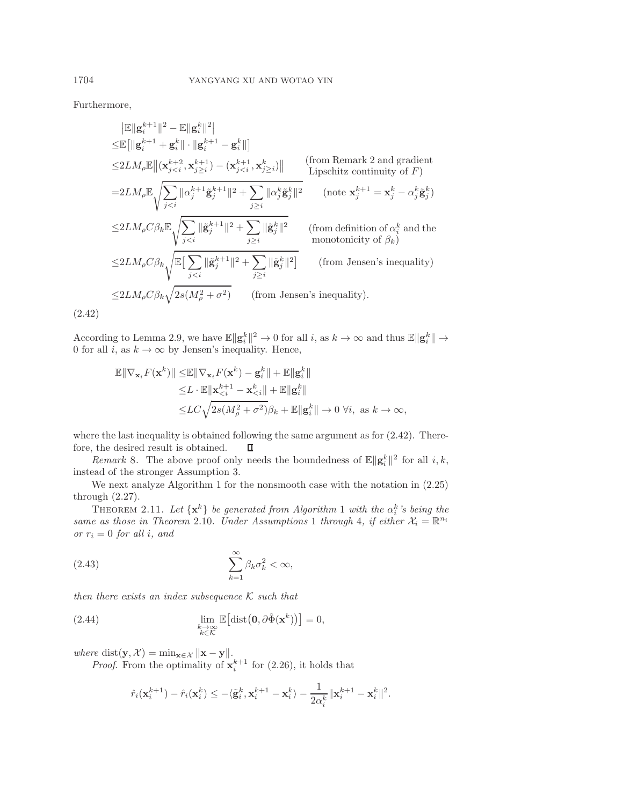Furthermore,

$$
\|\mathbb{E}\|g_i^{k+1}\|^2 - \mathbb{E}\|g_i^k\|^2
$$
\n
$$
\leq \mathbb{E}\big[\|g_i^{k+1} + g_i^k\| \cdot \|g_i^{k+1} - g_i^k\|\big]
$$
\n
$$
\leq 2LM_\rho \mathbb{E}\big[\|\mathbf{x}_{j\n
$$
= 2LM_\rho \mathbb{E}\sqrt{\sum_{j\n
$$
\leq 2LM_\rho C\beta_k \mathbb{E}\sqrt{\sum_{j\n
$$
\leq 2LM_\rho C\beta_k \sqrt{\mathbb{E}\big[\sum_{j\n
$$
\leq 2LM_\rho C\beta_k \sqrt{2s(M_\rho^2 + \sigma^2)} \qquad \text{(from Jensen's inequality)}.
$$
$$
$$
$$
$$

<span id="page-18-0"></span>(2.42)

According to Lemma [2.9,](#page-16-2) we have  $\mathbb{E} \|\mathbf{g}_i^k\|^2 \to 0$  for all *i*, as  $k \to \infty$  and thus  $\mathbb{E} \|\mathbf{g}_i^k\| \to$ 0 for all i, as  $k \to \infty$  by Jensen's inequality. Hence,

$$
\mathbb{E} \|\nabla_{\mathbf{x}_i} F(\mathbf{x}^k)\| \leq \mathbb{E} \|\nabla_{\mathbf{x}_i} F(\mathbf{x}^k) - \mathbf{g}_i^k\| + \mathbb{E} \|\mathbf{g}_i^k\|
$$
  
\n
$$
\leq L \cdot \mathbb{E} \|\mathbf{x}_{\leq i}^{k+1} - \mathbf{x}_{\leq i}^k\| + \mathbb{E} \|\mathbf{g}_i^k\|
$$
  
\n
$$
\leq LC \sqrt{2s(M_\rho^2 + \sigma^2)} \beta_k + \mathbb{E} \|\mathbf{g}_i^k\| \to 0 \ \forall i, \text{ as } k \to \infty,
$$

where the last inequality is obtained following the same argument as for  $(2.42)$ . Therefore, the desired result is obtained. П

*Remark* 8. The above proof only needs the boundedness of  $\mathbb{E} \|\mathbf{g}_i^k\|^2$  for all  $i, k$ , instead of the stronger Assumption [3.](#page-6-3)

We next analyze Algorithm [1](#page-2-0) for the nonsmooth case with the notation in [\(2.25\)](#page-13-0) through [\(2.27\)](#page-13-5).

<span id="page-18-3"></span>THEOREM 2.[1](#page-2-0)1. Let  $\{x^k\}$  be generated from Algorithm 1 with the  $\alpha_i^k$ 's being the *same as those in Theorem* [2.10](#page-16-3)*. Under Assumptions* [1](#page-6-0) *through* [4](#page-6-5)*, if either*  $\mathcal{X}_i = \mathbb{R}^{n_i}$ *or*  $r_i = 0$  *for all i, and* 

<span id="page-18-1"></span>
$$
(2.43)\qquad \qquad \sum_{k=1}^{\infty} \beta_k \sigma_k^2 < \infty,
$$

*then there exists an index subsequence* K *such that*

(2.44) 
$$
\lim_{\substack{k \to \infty \\ k \in \mathcal{K}}} \mathbb{E}\big[\text{dist}\big(\mathbf{0}, \partial \hat{\Phi}(\mathbf{x}^k)\big)\big] = 0,
$$

 $where \text{ dist}(\mathbf{y}, \mathcal{X}) = \min_{\mathbf{x} \in \mathcal{X}} \|\mathbf{x} - \mathbf{y}\|.$ 

*Proof.* From the optimality of  $\mathbf{x}_i^{k+1}$  for [\(2.26\)](#page-13-6), it holds that

<span id="page-18-2"></span>
$$
\hat{r}_i(\mathbf{x}_i^{k+1}) - \hat{r}_i(\mathbf{x}_i^k) \le -\langle \tilde{\mathbf{g}}_i^k, \mathbf{x}_i^{k+1} - \mathbf{x}_i^k \rangle - \frac{1}{2\alpha_i^k} ||\mathbf{x}_i^{k+1} - \mathbf{x}_i^k||^2.
$$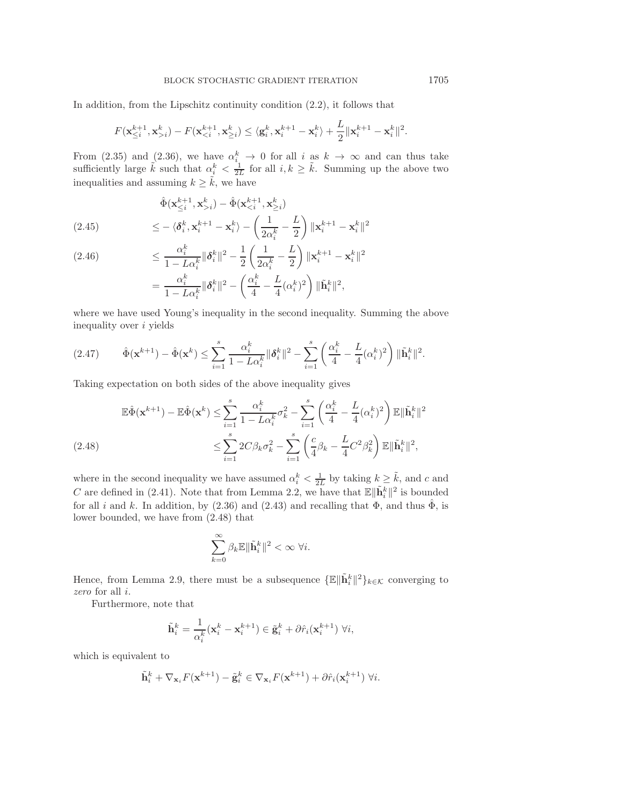In addition, from the Lipschitz continuity condition [\(2.2\)](#page-6-6), it follows that

$$
F(\mathbf{x}_{\leq i}^{k+1},\mathbf{x}_{>i}^k) - F(\mathbf{x}_{
$$

From [\(2.35\)](#page-16-4) and [\(2.36\)](#page-16-1), we have  $\alpha_i^k \to 0$  for all i as  $k \to \infty$  and can thus take sufficiently large  $\tilde{k}$  such that  $\alpha_i^k < \frac{1}{2L}$  for all  $i, k \geq \tilde{k}$ . Summing up the above two inequalities and assuming  $k \geq \tilde{k}$ , we have

$$
\hat{\Phi}(\mathbf{x}_{\leq i}^{k+1}, \mathbf{x}_{>i}^k) - \hat{\Phi}(\mathbf{x}_{\n
$$
\leq -\langle \delta_i^k, \mathbf{x}_i^{k+1} - \mathbf{x}_i^k \rangle - \left(\frac{1}{2\alpha_i^k} - \frac{L}{2}\right) \|\mathbf{x}_i^{k+1} - \mathbf{x}_i^k\|^2
$$
$$

(2.46) 
$$
\leq \frac{\alpha_i^k}{1 - L\alpha_i^k} ||\boldsymbol{\delta}_i^k||^2 - \frac{1}{2} \left( \frac{1}{2\alpha_i^k} - \frac{L}{2} \right) ||\mathbf{x}_i^{k+1} - \mathbf{x}_i^k||^2
$$

$$
= \frac{\alpha_i^k}{1 - L\alpha_i^k} ||\boldsymbol{\delta}_i^k||^2 - \left( \frac{\alpha_i^k}{4} - \frac{L}{4}(\alpha_i^k)^2 \right) ||\tilde{\mathbf{h}}_i^k||^2,
$$

<span id="page-19-1"></span>where we have used Young's inequality in the second inequality. Summing the above inequality over i yields

$$
(2.47) \qquad \hat{\Phi}(\mathbf{x}^{k+1}) - \hat{\Phi}(\mathbf{x}^k) \le \sum_{i=1}^s \frac{\alpha_i^k}{1 - L\alpha_i^k} \|\boldsymbol{\delta}_i^k\|^2 - \sum_{i=1}^s \left(\frac{\alpha_i^k}{4} - \frac{L}{4}(\alpha_i^k)^2\right) \|\tilde{\mathbf{h}}_i^k\|^2.
$$

Taking expectation on both sides of the above inequality gives

$$
\mathbb{E}\hat{\Phi}(\mathbf{x}^{k+1}) - \mathbb{E}\hat{\Phi}(\mathbf{x}^k) \le \sum_{i=1}^s \frac{\alpha_i^k}{1 - L\alpha_i^k} \sigma_k^2 - \sum_{i=1}^s \left(\frac{\alpha_i^k}{4} - \frac{L}{4}(\alpha_i^k)^2\right) \mathbb{E}\|\tilde{\mathbf{h}}_i^k\|^2
$$
\n
$$
\le \sum_{i=1}^s 2C\beta_k \sigma_k^2 - \sum_{i=1}^s \left(\frac{c}{4}\beta_k - \frac{L}{4}C^2\beta_k^2\right) \mathbb{E}\|\tilde{\mathbf{h}}_i^k\|^2,
$$

<span id="page-19-0"></span>where in the second inequality we have assumed  $\alpha_i^k < \frac{1}{2L}$  by taking  $k \geq \tilde{k}$ , and c and  $C$  are defined in (2.41). Note that from Lemma 2.2, we have that  $\mathbb{E} \mathbb{E}^{\|\tilde{k}\|}$  is hounded C are defined in [\(2.41\)](#page-17-2). Note that from Lemma [2.2,](#page-8-1) we have that  $\mathbb{E} \|\tilde{\mathbf{h}}_i^k\|^2$  is bounded for all i and k. In addition, by [\(2.36\)](#page-16-1) and [\(2.43\)](#page-18-1) and recalling that  $\Phi$ , and thus  $\hat{\Phi}$ , is lower bounded, we have from [\(2.48\)](#page-19-0) that

$$
\sum_{k=0}^{\infty} \beta_k \mathbb{E} \|\tilde{\mathbf{h}}_i^k\|^2 < \infty \ \forall i.
$$

Hence, from Lemma [2.9,](#page-16-2) there must be a subsequence  $\{\mathbb{E}\|\tilde{\mathbf{h}}_i^k\|^2\}_{k\in\mathcal{K}}$  converging to *zero* for all i.

Furthermore, note that

$$
\tilde{\mathbf{h}}_i^k = \frac{1}{\alpha_i^k} (\mathbf{x}_i^k - \mathbf{x}_i^{k+1}) \in \tilde{\mathbf{g}}_i^k + \partial \hat{r}_i (\mathbf{x}_i^{k+1}) \ \forall i,
$$

which is equivalent to

$$
\tilde{\mathbf{h}}_i^k + \nabla_{\mathbf{x}_i} F(\mathbf{x}^{k+1}) - \tilde{\mathbf{g}}_i^k \in \nabla_{\mathbf{x}_i} F(\mathbf{x}^{k+1}) + \partial \hat{r}_i(\mathbf{x}_i^{k+1}) \ \forall i.
$$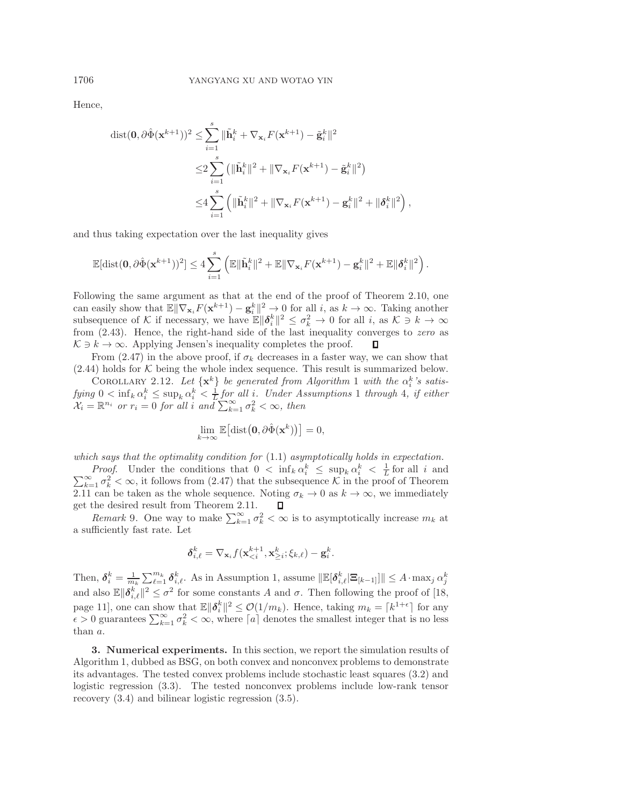Hence,

$$
\begin{split} \text{dist}(\mathbf{0}, & \partial \hat{\Phi}(\mathbf{x}^{k+1}))^2 \leq \sum_{i=1}^s \|\tilde{\mathbf{h}}_i^k + \nabla_{\mathbf{x}_i} F(\mathbf{x}^{k+1}) - \tilde{\mathbf{g}}_i^k\|^2 \\ &\leq & 2 \sum_{i=1}^s \left( \|\tilde{\mathbf{h}}_i^k\|^2 + \|\nabla_{\mathbf{x}_i} F(\mathbf{x}^{k+1}) - \tilde{\mathbf{g}}_i^k\|^2 \right) \\ &\leq & 4 \sum_{i=1}^s \left( \|\tilde{\mathbf{h}}_i^k\|^2 + \|\nabla_{\mathbf{x}_i} F(\mathbf{x}^{k+1}) - \mathbf{g}_i^k\|^2 + \|\delta_i^k\|^2 \right), \end{split}
$$

and thus taking expectation over the last inequality gives

$$
\mathbb{E}[\text{dist}(\mathbf{0},\partial\hat{\Phi}(\mathbf{x}^{k+1}))^2] \leq 4\sum_{i=1}^s \left(\mathbb{E}\|\tilde{\mathbf{h}}_i^k\|^2 + \mathbb{E}\|\nabla_{\mathbf{x}_i}F(\mathbf{x}^{k+1}) - \mathbf{g}_i^k\|^2 + \mathbb{E}\|\boldsymbol{\delta}_i^k\|^2\right).
$$

Following the same argument as that at the end of the proof of Theorem [2.10,](#page-16-3) one can easily show that  $\mathbb{E} \|\nabla_{\mathbf{x}_i} F(\mathbf{x}^{k+1}) - \mathbf{g}_i^k\|^2 \to 0$  for all i, as  $k \to \infty$ . Taking another subsequence of K if necessary, we have  $\mathbb{E} \|\boldsymbol{\delta}_i^k\|^2 \leq \sigma_k^2 \to 0$  for all i, as  $\mathcal{K} \ni k \to \infty$ from [\(2.43\)](#page-18-1). Hence, the right-hand side of the last inequality converges to *zero* as  $K \ni k \to \infty$ . Applying Jensen's inequality completes the proof. п

From [\(2.47\)](#page-19-1) in the above proof, if  $\sigma_k$  decreases in a faster way, we can show that  $(2.44)$  holds for  $K$  being the whole index sequence. This result is summarized below.

COROLLARY 2.[1](#page-2-0)2. Let  $\{x^k\}$  be generated from Algorithm 1 with the  $\alpha_i^k$ 's satis- $fying\ 0 < inf_k \alpha_i^k \leq sup_k \alpha_i^k < \frac{1}{L}$  $fying\ 0 < inf_k \alpha_i^k \leq sup_k \alpha_i^k < \frac{1}{L}$  $fying\ 0 < inf_k \alpha_i^k \leq sup_k \alpha_i^k < \frac{1}{L}$  *for all i.* Under Assumptions 1 through [4](#page-6-5), if either  $\mathcal{X}_i = \mathbb{R}^{n_i}$  or  $r_i = 0$  for all i and  $\sum_{k=1}^{\infty} \sigma_k^2 < \infty$ , then

$$
\lim_{k \to \infty} \mathbb{E} \big[ \text{dist} \big( \mathbf{0}, \partial \hat{\Phi}(\mathbf{x}^k) \big) \big] = 0,
$$

*which says that the optimality condition for* [\(1.1\)](#page-0-0) *asymptotically holds in expectation.*

*Proof.* Under the conditions that  $0 < \inf_k \alpha_i^k \leq \sup_k \alpha_i^k < \frac{1}{L}$ <br> $\sum_{k=1}^{\infty} \sigma_k^2 < \infty$ , it follows from (2.47) that the subsequence K in the proo for all  $i$  and  $\sum_{k=1}^{\infty} \sigma_k^2 < \infty$ , it follows from [\(2.47\)](#page-19-1) that the subsequence K in the proof of Theorem  $\Gamma$ ,  $\Gamma$  and  $\Gamma$  are the subsequence. Noting  $\sigma_i \to 0$  as  $k \to \infty$ , we immediately [2.11](#page-18-3) can be taken as the whole sequence. Noting  $\sigma_k \to 0$  as  $k \to \infty$ , we immediately get the desired result from Theorem [2.11.](#page-18-3) П

<span id="page-20-1"></span>*Remark* 9. One way to make  $\sum_{k=1}^{\infty} \sigma_k^2 < \infty$  is to asymptotically increase  $m_k$  at ficiently fast rate. Let a sufficiently fast rate. Let

$$
\pmb{\delta}^k_{i,\ell} = \nabla_{\mathbf{x}_i} f(\mathbf{x}_{
$$

Then,  $\delta_i^k = \frac{1}{m_k} \sum_{i=1}^{m_k} \delta_{i,\ell}^k$ . As in Assumption [1,](#page-6-0) assume  $\|\mathbb{E}[\delta_{i,\ell}^k] \mathbb{E}_{[k-1]}\| \leq A \cdot \max_j \alpha_j^k$ and also  $\mathbb{E} \|\boldsymbol{\delta}_{i,\ell}^k\|^2 \leq \sigma^2$  for some constants A and  $\sigma$ . Then following the proof of [\[18,](#page-28-23) page 11], one can show that  $\mathbb{E} \|\boldsymbol{\delta}_i^k\|^2 \leq \mathcal{O}(1/m_k)$ . Hence, taking  $m_k = \lceil k^{1+\epsilon} \rceil$  for any  $\epsilon > 0$  guarantees  $\sum_{k=1}^{\infty} \sigma_k^2 < \infty$ , where  $\lceil a \rceil$  denotes the smallest integer that is no less than a.

<span id="page-20-0"></span>**3. Numerical experiments.** In this section, we report the simulation results of Algorithm [1,](#page-2-0) dubbed as BSG, on both convex and nonconvex problems to demonstrate its advantages. The tested convex problems include stochastic least squares [\(3.2\)](#page-21-0) and logistic regression [\(3.3\)](#page-22-1). The tested nonconvex problems include low-rank tensor recovery [\(3.4\)](#page-23-0) and bilinear logistic regression [\(3.5\)](#page-24-0).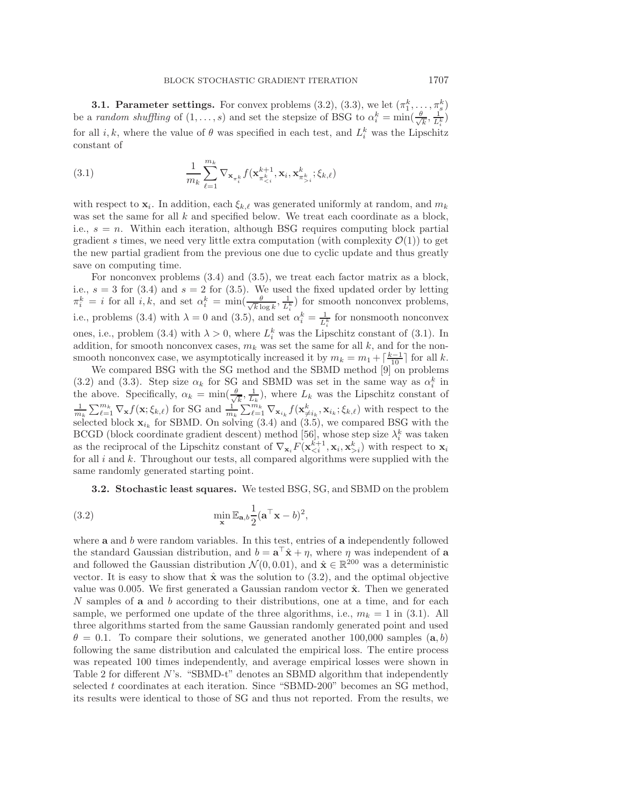**3.1. Parameter settings.** For convex problems [\(3.2\)](#page-21-0), [\(3.3\)](#page-22-1), we let  $(\pi_1^k, \ldots, \pi_s^k)$ be a *random shuffling* of  $(1, \ldots, s)$  and set the stepsize of BSG to  $\alpha_i^k = \min(\frac{\theta}{\sqrt{k}}, \frac{1}{L_i^k})$ for all  $i, k$ , where the value of  $\theta$  was specified in each test, and  $L_i^k$  was the Lipschitz constant of

<span id="page-21-1"></span>(3.1) 
$$
\frac{1}{m_k} \sum_{\ell=1}^{m_k} \nabla_{\mathbf{x}_{\pi_i^k}} f(\mathbf{x}_{\pi_{i}}^k; \xi_{k,\ell})
$$

with respect to  $\mathbf{x}_i$ . In addition, each  $\xi_{k,\ell}$  was generated uniformly at random, and  $m_k$ was set the same for all  $k$  and specified below. We treat each coordinate as a block, i.e.,  $s = n$ . Within each iteration, although BSG requires computing block partial gradient s times, we need very little extra computation (with complexity  $\mathcal{O}(1)$ ) to get the new partial gradient from the previous one due to cyclic update and thus greatly save on computing time.

For nonconvex problems [\(3.4\)](#page-23-0) and [\(3.5\)](#page-24-0), we treat each factor matrix as a block, i.e.,  $s = 3$  for [\(3.4\)](#page-23-0) and  $s = 2$  for [\(3.5\)](#page-24-0). We used the fixed updated order by letting  $\pi_k^k = i$  for all i, k, and set  $\alpha_i^k = \min(\frac{\theta}{\sqrt{k} \log k}, \frac{1}{L_i^k})$  for smooth nonconvex problems, i.e., problems [\(3.4\)](#page-23-0) with  $\lambda = 0$  and [\(3.5\)](#page-24-0), and set  $\alpha_i^k = \frac{1}{L_i^k}$  for nonsmooth nonconvex ones, i.e., problem [\(3.4\)](#page-23-0) with  $\lambda > 0$ , where  $L_i^k$  was the Lipschitz constant of [\(3.1\)](#page-21-1). In addition, for smooth nonconvex cases,  $m_k$  was set the same for all k, and for the nonsmooth nonconvex case, we asymptotically increased it by  $m_k = m_1 + \lceil \frac{k-1}{10} \rceil$  for all k.<br>We compared BSG with the SG method and the SBMD method [9] on problems

We compared BSG with the SG method and the SBMD method  $[9]$  on problems [\(3.2\)](#page-21-0) and [\(3.3\)](#page-22-1). Step size  $\alpha_k$  for SG and SBMD was set in the same way as  $\alpha_i^k$  in the above. Specifically,  $\alpha_k = \min(\frac{\theta}{\sqrt{k}}, \frac{1}{L_k})$ , where  $L_k$  was the Lipschitz constant of  $\frac{1}{m_k} \sum_{\ell=1}^{m_k} \nabla_{\mathbf{x}} f(\mathbf{x}; \xi_{k,\ell})$  for SG and  $\frac{1}{m_k} \sum_{\ell=1}^{m_k} \nabla_{\mathbf{x}_{i_k}} f(\mathbf{x}^k_{\neq i_k}, \mathbf{x}_{i_k}; \xi_{k,\ell})$  with respect to the selected block  $\mathbf{x}_{i_k}$  for SBMD. On solving  $(3.4)$  and  $(3.5)$ , we compared BSG with the BCGD (block coordinate gradient descent) method [\[56\]](#page-29-11), whose step size  $\lambda_i^k$  was taken as the reciprocal of the Lipschitz constant of  $\nabla_{\mathbf{x}_i} F(\mathbf{x}_{\leq i}^{k+1}, \mathbf{x}_i, \mathbf{x}_{\geq i}^k)$  with respect to  $\mathbf{x}_i$ for all  $i$  and  $k$ . Throughout our tests, all compared algorithms were supplied with the same randomly generated starting point.

<span id="page-21-0"></span>**3.2. Stochastic least squares.** We tested BSG, SG, and SBMD on the problem

(3.2) 
$$
\min_{\mathbf{x}} \mathbb{E}_{\mathbf{a},b} \frac{1}{2} (\mathbf{a}^{\top} \mathbf{x} - b)^2,
$$

where **a** and b were random variables. In this test, entries of **a** independently followed the standard Gaussian distribution, and  $b = \mathbf{a}^\top \hat{\mathbf{x}} + \eta$ , where  $\eta$  was independent of **a** and followed the Gaussian distribution  $\mathcal{N}(0, 0.01)$ , and  $\hat{\mathbf{x}} \in \mathbb{R}^{200}$  was a deterministic vector. It is easy to show that  $\hat{\mathbf{x}}$  was the solution to [\(3.2\)](#page-21-0), and the optimal objective value was 0.005. We first generated a Gaussian random vector  $\hat{\mathbf{x}}$ . Then we generated N samples of **a** and b according to their distributions, one at a time, and for each sample, we performed one update of the three algorithms, i.e.,  $m_k = 1$  in [\(3.1\)](#page-21-1). All three algorithms started from the same Gaussian randomly generated point and used  $\theta = 0.1$ . To compare their solutions, we generated another 100,000 samples  $(a, b)$ following the same distribution and calculated the empirical loss. The entire process was repeated 100 times independently, and average empirical losses were shown in Table [2](#page-22-2) for different  $N$ 's. "SBMD-t" denotes an SBMD algorithm that independently selected t coordinates at each iteration. Since "SBMD-200" becomes an SG method, its results were identical to those of SG and thus not reported. From the results, we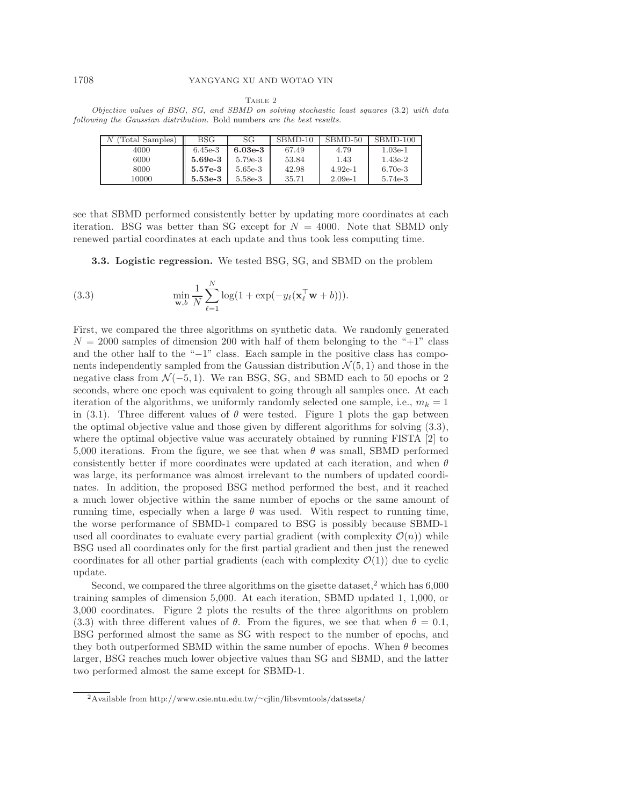#### 1708 YANGYANG XU AND WOTAO YIN

<span id="page-22-1"></span>Table 2

<span id="page-22-2"></span>Objective values of BSG, SG, and SBMD on solving stochastic least squares [\(3.2\)](#page-21-0) with data following the Gaussian distribution. Bold numbers are the best results.

| Total Samples) | BSG       | SG        | SBMD-10 | SBMD-50   | SBMD-100  |
|----------------|-----------|-----------|---------|-----------|-----------|
| 4000           | $6.45e-3$ | $6.03e-3$ | 67.49   | 4.79      | $1.03e-1$ |
| 6000           | $5.69e-3$ | $5.79e-3$ | 53.84   | 1.43      | $1.43e-2$ |
| 8000           | $5.57e-3$ | 5.65e-3   | 42.98   | $4.92e-1$ | $6.70e-3$ |
| 10000          | $5.53e-3$ | 5.58e-3   | 35.71   | $2.09e-1$ | 5.74e-3   |

see that SBMD performed consistently better by updating more coordinates at each iteration. BSG was better than SG except for  $N = 4000$ . Note that SBMD only renewed partial coordinates at each update and thus took less computing time.

<span id="page-22-0"></span>**3.3. Logistic regression.** We tested BSG, SG, and SBMD on the problem

(3.3) 
$$
\min_{\mathbf{w},b} \frac{1}{N} \sum_{\ell=1}^{N} \log(1 + \exp(-y_{\ell}(\mathbf{x}_{\ell}^{\top}\mathbf{w} + b))).
$$

First, we compared the three algorithms on synthetic data. We randomly generated  $N = 2000$  samples of dimension 200 with half of them belonging to the " $+1$ " class and the other half to the "−1" class. Each sample in the positive class has components independently sampled from the Gaussian distribution  $\mathcal{N}(5, 1)$  and those in the negative class from  $\mathcal{N}(-5, 1)$ . We ran BSG, SG, and SBMD each to 50 epochs or 2 seconds, where one epoch was equivalent to going through all samples once. At each iteration of the algorithms, we uniformly randomly selected one sample, i.e.,  $m_k = 1$ in [\(3.1\)](#page-21-1). Three different values of  $\theta$  were tested. Figure [1](#page-23-1) plots the gap between the optimal objective value and those given by different algorithms for solving [\(3.3\)](#page-22-1), where the optimal objective value was accurately obtained by running FISTA [\[2\]](#page-28-25) to 5,000 iterations. From the figure, we see that when  $\theta$  was small, SBMD performed consistently better if more coordinates were updated at each iteration, and when  $\theta$ was large, its performance was almost irrelevant to the numbers of updated coordinates. In addition, the proposed BSG method performed the best, and it reached a much lower objective within the same number of epochs or the same amount of running time, especially when a large  $\theta$  was used. With respect to running time, the worse performance of SBMD-1 compared to BSG is possibly because SBMD-1 used all coordinates to evaluate every partial gradient (with complexity  $\mathcal{O}(n)$ ) while BSG used all coordinates only for the first partial gradient and then just the renewed coordinates for all other partial gradients (each with complexity  $\mathcal{O}(1)$ ) due to cyclic update.

Second, we compared the three algorithms on the gisette dataset,<sup>[2](#page-22-3)</sup> which has  $6,000$ training samples of dimension 5,000. At each iteration, SBMD updated 1, 1,000, or 3,000 coordinates. Figure [2](#page-23-2) plots the results of the three algorithms on problem [\(3.3\)](#page-22-1) with three different values of  $\theta$ . From the figures, we see that when  $\theta = 0.1$ , BSG performed almost the same as SG with respect to the number of epochs, and they both outperformed SBMD within the same number of epochs. When  $\theta$  becomes larger, BSG reaches much lower objective values than SG and SBMD, and the latter two performed almost the same except for SBMD-1.

<span id="page-22-3"></span><sup>2</sup>Available from [http://www.csie.ntu.edu.tw/](http://www.csie.ntu.edu.tw/~cjlin/libsvmtools/datasets/)∼cjlin/libsvmtools/datasets/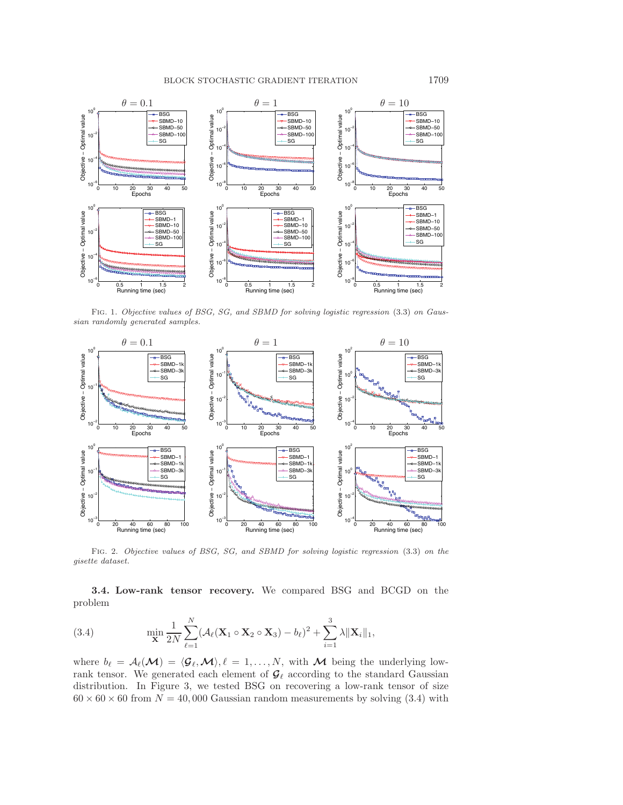

<span id="page-23-1"></span>FIG. 1. Objective values of BSG, SG, and SBMD for solving logistic regression [\(3.3\)](#page-22-1) on Gaussian randomly generated samples.



<span id="page-23-2"></span>Fig. 2. Objective values of BSG, SG, and SBMD for solving logistic regression [\(3.3\)](#page-22-1) on the gisette dataset.

<span id="page-23-0"></span>**3.4. Low-rank tensor recovery.** We compared BSG and BCGD on the problem

(3.4) 
$$
\min_{\mathbf{X}} \frac{1}{2N} \sum_{\ell=1}^{N} (\mathcal{A}_{\ell}(\mathbf{X}_{1} \circ \mathbf{X}_{2} \circ \mathbf{X}_{3}) - b_{\ell})^{2} + \sum_{i=1}^{3} \lambda ||\mathbf{X}_{i}||_{1},
$$

where  $b_{\ell} = A_{\ell}(\mathcal{M}) = \langle \mathcal{G}_{\ell}, \mathcal{M} \rangle, \ell = 1, \ldots, N$ , with  $\mathcal M$  being the underlying lowrank tensor. We generated each element of  $\mathcal{G}_{\ell}$  according to the standard Gaussian distribution. In Figure [3,](#page-24-1) we tested BSG on recovering a low-rank tensor of size  $60 \times 60 \times 60$  from  $N = 40,000$  Gaussian random measurements by solving [\(3.4\)](#page-23-0) with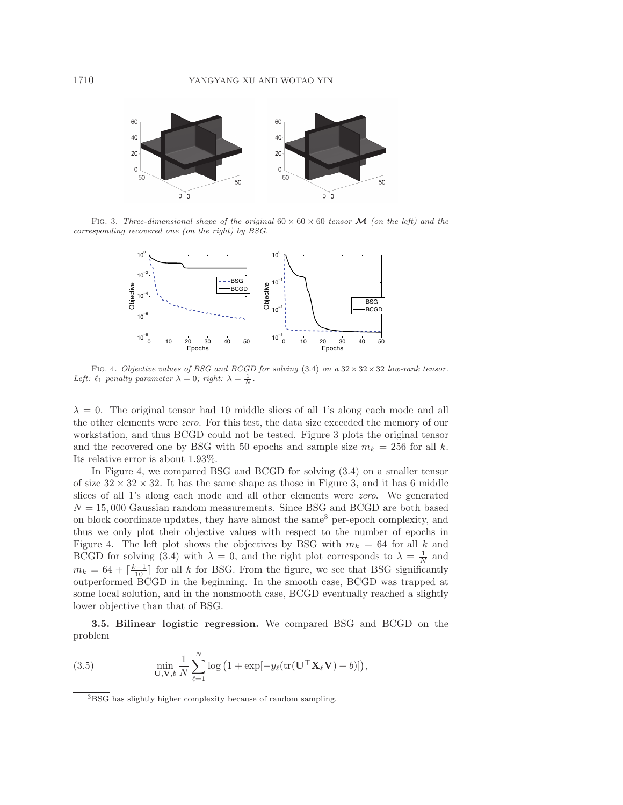

FIG. 3. Three-dimensional shape of the original  $60 \times 60 \times 60$  tensor **M** (on the left) and the corresponding recovered one (on the right) by BSG.

<span id="page-24-1"></span>

<span id="page-24-2"></span>Fig. 4. Objective values of BSG and BCGD for solving [\(3.4\)](#page-23-0) on a <sup>32</sup>*×*32*×*<sup>32</sup> low-rank tensor. Left:  $\ell_1$  penalty parameter  $\lambda = 0$ ; right:  $\lambda = \frac{1}{N}$ .

 $\lambda = 0$ . The original tensor had 10 middle slices of all 1's along each mode and all the other elements were *zero*. For this test, the data size exceeded the memory of our workstation, and thus BCGD could not be tested. Figure [3](#page-24-1) plots the original tensor and the recovered one by BSG with 50 epochs and sample size  $m_k = 256$  for all k. Its relative error is about 1.93%.

In Figure [4,](#page-24-2) we compared BSG and BCGD for solving [\(3.4\)](#page-23-0) on a smaller tensor of size  $32 \times 32 \times 32$ . It has the same shape as those in Figure [3,](#page-24-1) and it has 6 middle slices of all 1's along each mode and all other elements were *zero*. We generated  $N = 15,000$  Gaussian random measurements. Since BSG and BCGD are both based on block coordinate updates, they have almost the same<sup>[3](#page-24-3)</sup> per-epoch complexity, and thus we only plot their objective values with respect to the number of epochs in Figure [4.](#page-24-2) The left plot shows the objectives by BSG with  $m_k = 64$  for all k and BCGD for solving [\(3.4\)](#page-23-0) with  $\lambda = 0$ , and the right plot corresponds to  $\lambda = \frac{1}{N}$  and  $m_k = 64 + \left[\frac{k-1}{10}\right]$  for all k for BSG. From the figure, we see that BSG significantly<br>outperformed BCGD in the beginning. In the smooth case, BCGD was trapped at outperformed BCGD in the beginning. In the smooth case, BCGD was trapped at some local solution, and in the nonsmooth case, BCGD eventually reached a slightly lower objective than that of BSG.

<span id="page-24-0"></span>**3.5. Bilinear logistic regression.** We compared BSG and BCGD on the problem

(3.5) 
$$
\min_{\mathbf{U},\mathbf{V},b}\frac{1}{N}\sum_{\ell=1}^N\log\left(1+\exp[-y_\ell(\mathrm{tr}(\mathbf{U}^\top\mathbf{X}_\ell\mathbf{V})+b)]\right),\,
$$

<span id="page-24-3"></span><sup>3</sup>BSG has slightly higher complexity because of random sampling.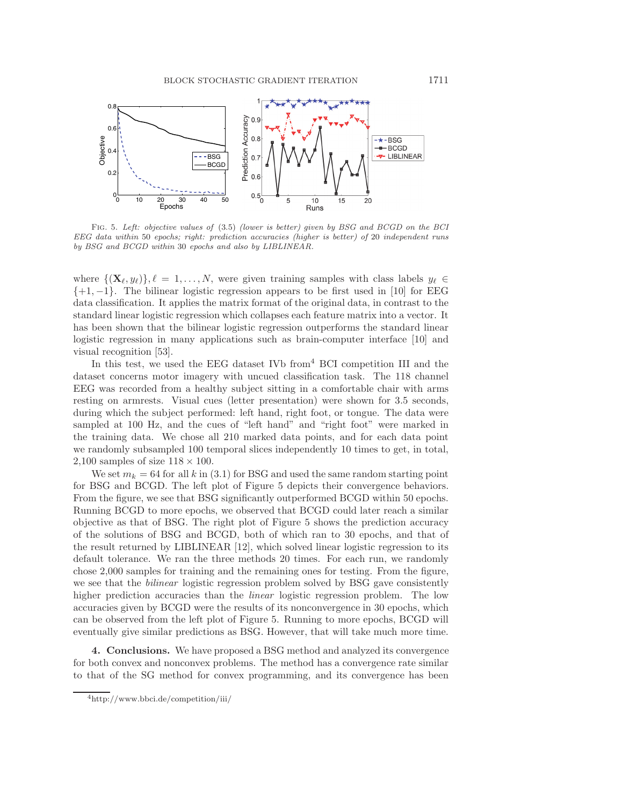

<span id="page-25-1"></span>Fig. 5. Left: objective values of [\(3.5\)](#page-24-0) (lower is better) given by BSG and BCGD on the BCI EEG data within 50 epochs; right: prediction accuracies (higher is better) of 20 independent runs by BSG and BCGD within 30 epochs and also by LIBLINEAR.

where  $\{(\mathbf{X}_{\ell}, y_{\ell})\}, \ell = 1, \ldots, N$ , were given training samples with class labels  $y_{\ell} \in$  $\{+1, -1\}$ . The bilinear logistic regression appears to be first used in [\[10\]](#page-28-0) for EEG data classification. It applies the matrix format of the original data, in contrast to the standard linear logistic regression which collapses each feature matrix into a vector. It has been shown that the bilinear logistic regression outperforms the standard linear logistic regression in many applications such as brain-computer interface [\[10\]](#page-28-0) and visual recognition [\[53\]](#page-29-2).

In this test, we used the EEG dataset IVb from<sup>[4](#page-25-0)</sup> BCI competition III and the dataset concerns motor imagery with uncued classification task. The 118 channel EEG was recorded from a healthy subject sitting in a comfortable chair with arms resting on armrests. Visual cues (letter presentation) were shown for 3.5 seconds, during which the subject performed: left hand, right foot, or tongue. The data were sampled at 100 Hz, and the cues of "left hand" and "right foot" were marked in the training data. We chose all 210 marked data points, and for each data point we randomly subsampled 100 temporal slices independently 10 times to get, in total, 2,100 samples of size  $118 \times 100$ .

We set  $m_k = 64$  for all k in [\(3.1\)](#page-21-1) for BSG and used the same random starting point for BSG and BCGD. The left plot of Figure [5](#page-25-1) depicts their convergence behaviors. From the figure, we see that BSG significantly outperformed BCGD within 50 epochs. Running BCGD to more epochs, we observed that BCGD could later reach a similar objective as that of BSG. The right plot of Figure [5](#page-25-1) shows the prediction accuracy of the solutions of BSG and BCGD, both of which ran to 30 epochs, and that of the result returned by LIBLINEAR [\[12\]](#page-28-29), which solved linear logistic regression to its default tolerance. We ran the three methods 20 times. For each run, we randomly chose 2,000 samples for training and the remaining ones for testing. From the figure, we see that the *bilinear* logistic regression problem solved by BSG gave consistently higher prediction accuracies than the *linear* logistic regression problem. The low accuracies given by BCGD were the results of its nonconvergence in 30 epochs, which can be observed from the left plot of Figure [5.](#page-25-1) Running to more epochs, BCGD will eventually give similar predictions as BSG. However, that will take much more time.

**4. Conclusions.** We have proposed a BSG method and analyzed its convergence for both convex and nonconvex problems. The method has a convergence rate similar to that of the SG method for convex programming, and its convergence has been

<span id="page-25-0"></span><sup>4</sup><http://www.bbci.de/competition/iii/>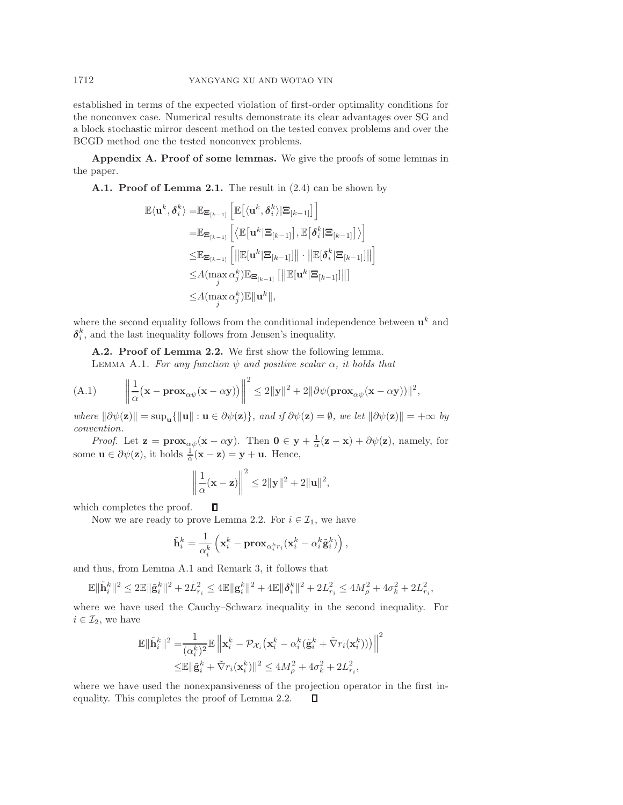established in terms of the expected violation of first-order optimality conditions for the nonconvex case. Numerical results demonstrate its clear advantages over SG and a block stochastic mirror descent method on the tested convex problems and over the BCGD method one the tested nonconvex problems.

<span id="page-26-0"></span>**Appendix A. Proof of some lemmas.** We give the proofs of some lemmas in the paper.

**A.1. Proof of Lemma [2.1.](#page-8-0)** The result in [\(2.4\)](#page-8-3) can be shown by

$$
\mathbb{E}\langle \mathbf{u}^{k}, \boldsymbol{\delta}_{i}^{k} \rangle = \mathbb{E}_{\boldsymbol{\Xi}_{[k-1]}} \left[ \mathbb{E}\big[\langle \mathbf{u}^{k}, \boldsymbol{\delta}_{i}^{k} \rangle | \boldsymbol{\Xi}_{[k-1]} \big] \right] \n= \mathbb{E}_{\boldsymbol{\Xi}_{[k-1]}} \left[ \langle \mathbb{E}\big[\mathbf{u}^{k} | \boldsymbol{\Xi}_{[k-1]}\big], \mathbb{E}\big[\boldsymbol{\delta}_{i}^{k} | \boldsymbol{\Xi}_{[k-1]}\big] \rangle \right] \n\leq \mathbb{E}_{\boldsymbol{\Xi}_{[k-1]}} \left[ \|\mathbb{E}[\mathbf{u}^{k} | \boldsymbol{\Xi}_{[k-1]}] \| \cdot \|\mathbb{E}[\boldsymbol{\delta}_{i}^{k} | \boldsymbol{\Xi}_{[k-1]}] \| \right] \n\leq A(\max \alpha_{j}^{k}) \mathbb{E}_{\boldsymbol{\Xi}_{[k-1]}} \left[ \|\mathbb{E}[\mathbf{u}^{k} | \boldsymbol{\Xi}_{[k-1]}] \| \right] \n\leq A(\max \alpha_{j}^{k}) \mathbb{E} \|\mathbf{u}^{k} \|,
$$

where the second equality follows from the conditional independence between  $\mathbf{u}^k$  and  $\delta_i^k$ , and the last inequality follows from Jensen's inequality.

**A.2. Proof of Lemma [2.2.](#page-8-1)** We first show the following lemma.

LEMMA A.1. *For any function*  $\psi$  *and positive scalar*  $\alpha$ *, it holds that* 

(A.1) 
$$
\left\|\frac{1}{\alpha}(\mathbf{x}-\mathbf{prox}_{\alpha\psi}(\mathbf{x}-\alpha\mathbf{y}))\right\|^2 \le 2\|\mathbf{y}\|^2 + 2\|\partial\psi(\mathbf{prox}_{\alpha\psi}(\mathbf{x}-\alpha\mathbf{y}))\|^2,
$$

 $where \|\partial \psi(\mathbf{z})\| = \sup_{\mathbf{u}} \{\|\mathbf{u}\| : \mathbf{u} \in \partial \psi(\mathbf{z})\}, and if \ \partial \psi(\mathbf{z}) = \emptyset, we let \|\partial \psi(\mathbf{z})\| = +\infty by$ *convention.*

*Proof.* Let  $\mathbf{z} = \mathbf{prox}_{\alpha\psi}(\mathbf{x} - \alpha \mathbf{y})$ . Then  $\mathbf{0} \in \mathbf{y} + \frac{1}{\alpha}(\mathbf{z} - \mathbf{x}) + \partial \psi(\mathbf{z})$ , namely, for some  $\mathbf{u} \in \partial \psi(\mathbf{z})$ , it holds  $\frac{1}{\alpha}(\mathbf{x} - \mathbf{z}) = \mathbf{y} + \mathbf{u}$ . Hence,

<span id="page-26-1"></span>
$$
\left\|\frac{1}{\alpha}(\mathbf{x}-\mathbf{z})\right\|^2 \le 2\|\mathbf{y}\|^2 + 2\|\mathbf{u}\|^2,
$$

which completes the proof.  $\Box$ 

Now we are ready to prove Lemma [2.2.](#page-8-1) For  $i \in \mathcal{I}_1$ , we have

$$
\tilde{\mathbf{h}}_i^k = \frac{1}{\alpha_i^k} \left( \mathbf{x}_i^k - \mathbf{prox}_{\alpha_i^k r_i} (\mathbf{x}_i^k - \alpha_i^k \tilde{\mathbf{g}}_i^k) \right),
$$

and thus, from Lemma [A.1](#page-26-1) and Remark [3,](#page-8-4) it follows that

$$
\mathbb{E} \|\tilde{\mathbf{h}}_i^k\|^2 \le 2 \mathbb{E} \|\tilde{\mathbf{g}}_i^k\|^2 + 2L_{r_i}^2 \le 4 \mathbb{E} \|\mathbf{g}_i^k\|^2 + 4 \mathbb{E} \|\delta_i^k\|^2 + 2L_{r_i}^2 \le 4M_{\rho}^2 + 4\sigma_k^2 + 2L_{r_i}^2,
$$

where we have used the Cauchy–Schwarz inequality in the second inequality. For  $i \in \mathcal{I}_2$ , we have

$$
\mathbb{E} \|\tilde{\mathbf{h}}_i^k\|^2 = \frac{1}{(\alpha_i^k)^2} \mathbb{E} \left\| \mathbf{x}_i^k - \mathcal{P}_{\mathcal{X}_i} \left( \mathbf{x}_i^k - \alpha_i^k (\tilde{\mathbf{g}}_i^k + \tilde{\nabla} r_i(\mathbf{x}_i^k)) \right) \right\|^2
$$
  

$$
\leq \mathbb{E} \|\tilde{\mathbf{g}}_i^k + \tilde{\nabla} r_i(\mathbf{x}_i^k)\|^2 \leq 4M_\rho^2 + 4\sigma_k^2 + 2L_{r_i}^2,
$$

where we have used the nonexpansiveness of the projection operator in the first inequality. This completes the proof of Lemma [2.2.](#page-8-1) $\Box$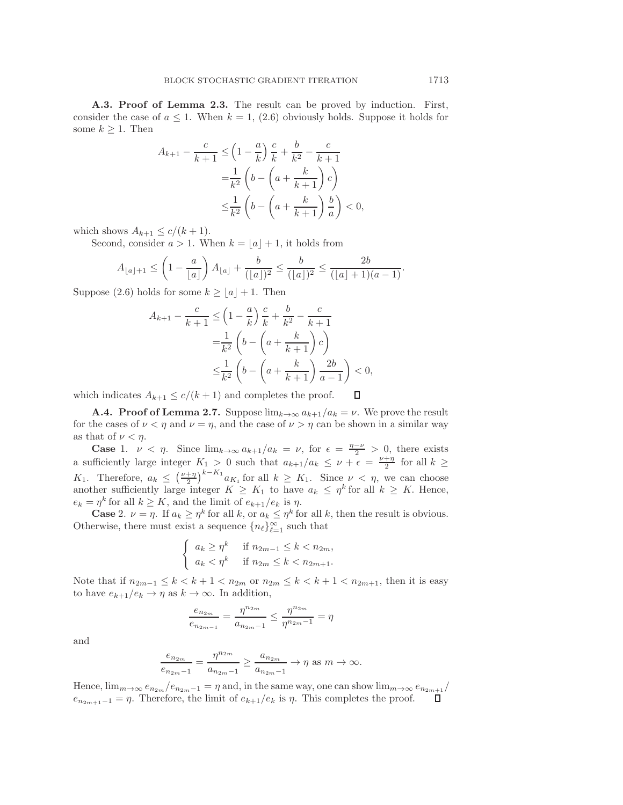**A.3. Proof of Lemma [2.3.](#page-8-2)** The result can be proved by induction. First, consider the case of  $a \leq 1$ . When  $k = 1$ , [\(2.6\)](#page-8-5) obviously holds. Suppose it holds for some  $k \geq 1$ . Then

$$
A_{k+1} - \frac{c}{k+1} \leq \left(1 - \frac{a}{k}\right) \frac{c}{k} + \frac{b}{k^2} - \frac{c}{k+1}
$$

$$
= \frac{1}{k^2} \left(b - \left(a + \frac{k}{k+1}\right)c\right)
$$

$$
\leq \frac{1}{k^2} \left(b - \left(a + \frac{k}{k+1}\right)\frac{b}{a}\right) < 0,
$$

which shows  $A_{k+1} \leq c/(k+1)$ .

Second, consider  $a > 1$ . When  $k = |a| + 1$ , it holds from

$$
A_{\lfloor a\rfloor+1} \le \left(1 - \frac{a}{\lfloor a\rfloor}\right) A_{\lfloor a\rfloor} + \frac{b}{(\lfloor a\rfloor)^2} \le \frac{b}{(\lfloor a\rfloor)^2} \le \frac{2b}{(\lfloor a\rfloor + 1)(a - 1)}.
$$

Suppose [\(2.6\)](#page-8-5) holds for some  $k \ge |a| + 1$ . Then

$$
A_{k+1} - \frac{c}{k+1} \le \left(1 - \frac{a}{k}\right) \frac{c}{k} + \frac{b}{k^2} - \frac{c}{k+1}
$$
  
=  $\frac{1}{k^2} \left( b - \left( a + \frac{k}{k+1} \right) c \right)$   
 $\le \frac{1}{k^2} \left( b - \left( a + \frac{k}{k+1} \right) \frac{2b}{a-1} \right) < 0,$ 

which indicates  $A_{k+1} \le c/(k+1)$  and completes the proof. Д

**A.4. Proof of Lemma [2.7.](#page-15-1)** Suppose  $\lim_{k\to\infty} a_{k+1}/a_k = \nu$ . We prove the result for the cases of  $\nu < \eta$  and  $\nu = \eta$ , and the case of  $\nu > \eta$  can be shown in a similar way as that of  $\nu < \eta$ .

**Case** 1.  $\nu < \eta$ . Since  $\lim_{k \to \infty} a_{k+1}/a_k = \nu$ , for  $\epsilon = \frac{\eta - \nu}{2} > 0$ , there exists figurative large integer  $K > 0$  such that  $a_{k+1}/a_k \leq \nu + \epsilon = \nu + \eta$  for all  $k > 0$ . a sufficiently large integer  $K_1 > 0$  such that  $a_{k+1}/a_k \leq \nu + \epsilon = \frac{\nu + \eta}{2}$  for all  $k \geq$  $K_1$ . Therefore,  $a_k \leq \left(\frac{\nu + \eta}{2}\right)$ <br>another sufficiently large in  $\int_{k-K}^{k-K_1} a_{K_1}$  for all  $k \geq K_1$ . Since  $\nu < \eta$ , we can choose another sufficiently large integer  $K \geq K_1$  to have  $a_k \leq \eta^k$  for all  $k \geq K$ . Hence,  $e_k = \eta^k$  for all  $k \geq K$ , and the limit of  $e_{k+1}/e_k$  is  $\eta$ .

**Case** 2.  $\nu = \eta$ . If  $a_k \geq \eta^k$  for all k, or  $a_k \leq \eta^k$  for all k, then the result is obvious. Otherwise, there must exist a sequence  ${n_{\ell}}_{\ell=1}^{\infty}$  such that

$$
\begin{cases} a_k \ge \eta^k & \text{if } n_{2m-1} \le k < n_{2m}, \\ a_k < \eta^k & \text{if } n_{2m} \le k < n_{2m+1}. \end{cases}
$$

Note that if  $n_{2m-1} \le k < k+1 < n_{2m}$  or  $n_{2m} \le k < k+1 < n_{2m+1}$ , then it is easy to have  $e_{k+1}/e_k \to \eta$  as  $k \to \infty$ . In addition,

$$
\frac{e_{n_{2m}}}{e_{n_{2m-1}}} = \frac{\eta^{n_{2m}}}{a_{n_{2m-1}}} \le \frac{\eta^{n_{2m}}}{\eta^{n_{2m-1}}} = \eta
$$

and

$$
\frac{e_{n_{2m}}}{e_{n_{2m}-1}} = \frac{\eta^{n_{2m}}}{a_{n_{2m}-1}} \ge \frac{a_{n_{2m}}}{a_{n_{2m}-1}} \to \eta \text{ as } m \to \infty.
$$

Hence,  $\lim_{m\to\infty}e_{n_{2m}}/e_{n_{2m}-1} = \eta$  and, in the same way, one can show  $\lim_{m\to\infty}e_{n_{2m}+1}/e_m$  $e_{n_{2m+1}-1} = \eta$ . Therefore, the limit of  $e_{k+1}/e_k$  is  $\eta$ . This completes the proof.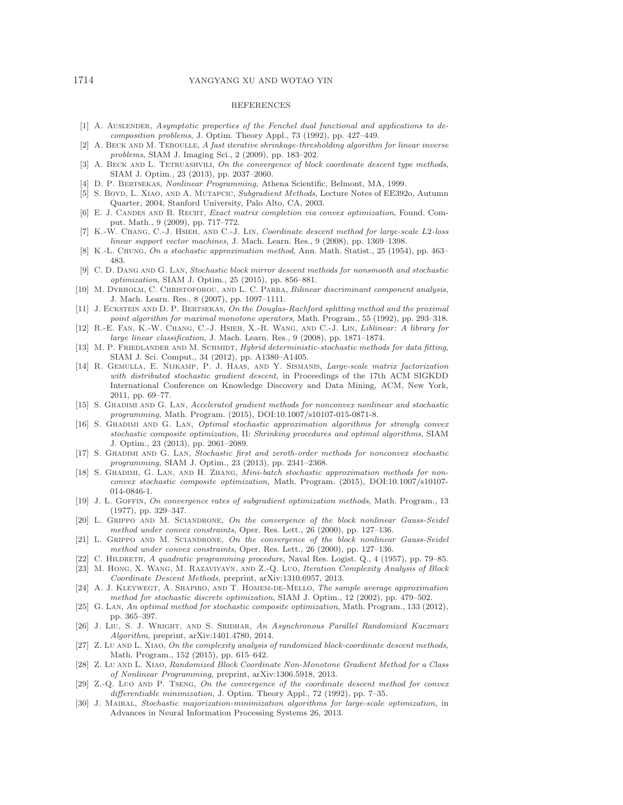#### 1714 YANGYANG XU AND WOTAO YIN

### REFERENCES

- <span id="page-28-13"></span>[1] A. Auslender, Asymptotic properties of the Fenchel dual functional and applications to decomposition problems, J. Optim. Theory Appl., 73 (1992), pp. 427–449.
- <span id="page-28-25"></span>[2] A. BECK AND M. TEBOULLE, A fast iterative shrinkage-thresholding algorithm for linear inverse problems, SIAM J. Imaging Sci., 2 (2009), pp. 183–202.
- <span id="page-28-17"></span>[3] A. BECK AND L. TETRUASHVILI, On the convergence of block coordinate descent type methods, SIAM J. Optim., 23 (2013), pp. 2037–2060.
- <span id="page-28-28"></span><span id="page-28-7"></span>[4] D. P. Bertsekas, Nonlinear Programming, Athena Scientific, Belmont, MA, 1999.
- [5] S. Boyd, L. Xiao, and A. Mutapcic, Subgradient Methods, Lecture Notes of EE392o, Autumn Quarter, 2004, Stanford University, Palo Alto, CA, 2003.
- <span id="page-28-1"></span>[6] E. J. CANDES AND B. RECHT, Exact matrix completion via convex optimization, Found. Comput. Math., 9 (2009), pp. 717–772.
- <span id="page-28-6"></span>[7] K.-W. Chang, C.-J. Hsieh, and C.-J. Lin, Coordinate descent method for large-scale L2-loss linear support vector machines, J. Mach. Learn. Res., 9 (2008), pp. 1369–1398.
- <span id="page-28-19"></span><span id="page-28-10"></span>[8] K.-L. Chung, On a stochastic approximation method, Ann. Math. Statist., 25 (1954), pp. 463– 483.
- [9] C. D. Dang and G. Lan, Stochastic block mirror descent methods for nonsmooth and stochastic optimization, SIAM J. Optim., 25 (2015), pp. 856–881.
- <span id="page-28-0"></span>[10] M. DYRHOLM, C. CHRISTOFOROU, AND L. C. PARRA, Bilinear discriminant component analysis, J. Mach. Learn. Res., 8 (2007), pp. 1097–1111.
- <span id="page-28-14"></span>[11] J. ECKSTEIN AND D. P. BERTSEKAS, On the Douglas-Rachford splitting method and the proximal point algorithm for maximal monotone operators, Math. Program., 55 (1992), pp. 293–318.
- <span id="page-28-29"></span>[12] R.-E. Fan, K.-W. Chang, C.-J. Hsieh, X.-R. Wang, and C.-J. Lin, Liblinear: A library for large linear classification, J. Mach. Learn. Res., 9 (2008), pp. 1871–1874.
- <span id="page-28-26"></span>[13] M. P. FRIEDLANDER AND M. SCHMIDT, *Hybrid deterministic-stochastic methods for data fitting*, SIAM J. Sci. Comput., 34 (2012), pp. A1380–A1405.
- <span id="page-28-3"></span>[14] R. Gemulla, E. Nijkamp, P. J. Haas, and Y. Sismanis, Large-scale matrix factorization with distributed stochastic gradient descent, in Proceedings of the 17th ACM SIGKDD International Conference on Knowledge Discovery and Data Mining, ACM, New York, 2011, pp. 69–77.
- <span id="page-28-21"></span>[15] S. Ghadimi and G. Lan, Accelerated gradient methods for nonconvex nonlinear and stochastic programming, Math. Program. (2015), DOI:10.1007/s10107-015-0871-8.
- <span id="page-28-20"></span>[16] S. Ghadimi and G. Lan, Optimal stochastic approximation algorithms for strongly convex stochastic composite optimization, II: Shrinking procedures and optimal algorithms, SIAM J. Optim., 23 (2013), pp. 2061–2089.
- <span id="page-28-22"></span>[17] S. Ghadimi and G. Lan, Stochastic first and zeroth-order methods for nonconvex stochastic programming, SIAM J. Optim., 23 (2013), pp. 2341–2368.
- <span id="page-28-23"></span>[18] S. GHADIMI, G. LAN, AND H. ZHANG, Mini-batch stochastic approximation methods for nonconvex stochastic composite optimization, Math. Program. (2015), DOI:10.1007/s10107- 014-0846-1.
- <span id="page-28-8"></span>[19] J. L. Goffin, On convergence rates of subgradient optimization methods, Math. Program., 13 (1977), pp. 329–347.
- <span id="page-28-4"></span>[20] L. GRIPPO AND M. SCIANDRONE, On the convergence of the block nonlinear Gauss-Seidel method under convex constraints, Oper. Res. Lett., 26 (2000), pp. 127–136.
- <span id="page-28-12"></span>[21] L. GRIPPO AND M. SCIANDRONE, On the convergence of the block nonlinear Gauss-Seidel method under convex constraints, Oper. Res. Lett., 26 (2000), pp. 127–136.
- <span id="page-28-18"></span><span id="page-28-11"></span>[22] C. HILDRETH, A quadratic programming procedure, Naval Res. Logist. Q., 4 (1957), pp. 79–85.
- [23] M. Hong, X. Wang, M. Razaviyayn, and Z.-Q. Luo, Iteration Complexity Analysis of Block Coordinate Descent Methods, preprint, arXiv:1310.6957, 2013.
- <span id="page-28-2"></span>[24] A. J. Kleywegt, A. Shapiro, and T. Homem-de-Mello, The sample average approximation method for stochastic discrete optimization, SIAM J. Optim., 12 (2002), pp. 479–502.
- <span id="page-28-9"></span>[25] G. Lan, An optimal method for stochastic composite optimization, Math. Program., 133 (2012), pp. 365–397.
- <span id="page-28-24"></span>[26] J. Liu, S. J. WRIGHT, AND S. SRIDHAR, An Asynchronous Parallel Randomized Kaczmarz Algorithm, preprint, arXiv:1401.4780, 2014.
- <span id="page-28-15"></span> $[27]$  Z. Lu AND L. XIAO, On the complexity analysis of randomized block-coordinate descent methods, Math. Program., 152 (2015), pp. 615–642.
- <span id="page-28-16"></span>[28] Z. Lu AND L. XIAO, Randomized Block Coordinate Non-Monotone Gradient Method for a Class of Nonlinear Programming, preprint, arXiv:1306.5918, 2013.
- <span id="page-28-5"></span>[29] Z.-Q. Luo AND P. TSENG, On the convergence of the coordinate descent method for convex differentiable minimization, J. Optim. Theory Appl., 72 (1992), pp. 7–35.
- <span id="page-28-27"></span>[30] J. Mairal, Stochastic majorization-minimization algorithms for large-scale optimization, in Advances in Neural Information Processing Systems 26, 2013.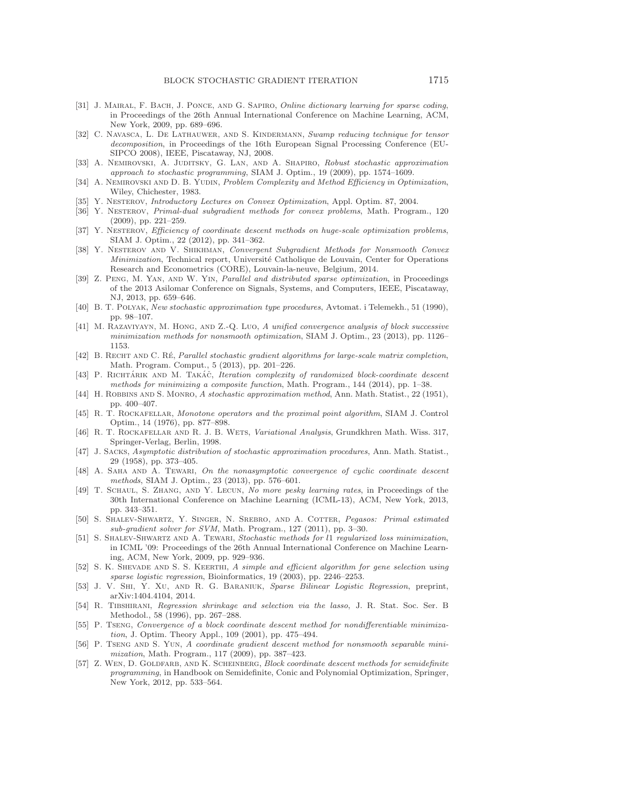- <span id="page-29-3"></span>[31] J. MAIRAL, F. BACH, J. PONCE, AND G. SAPIRO, Online dictionary learning for sparse coding, in Proceedings of the 26th Annual International Conference on Machine Learning, ACM, New York, 2009, pp. 689–696.
- <span id="page-29-20"></span>[32] C. Navasca, L. De Lathauwer, and S. Kindermann, Swamp reducing technique for tensor decomposition, in Proceedings of the 16th European Signal Processing Conference (EU-SIPCO 2008), IEEE, Piscataway, NJ, 2008.
- <span id="page-29-4"></span>[33] A. NEMIROVSKI, A. JUDITSKY, G. LAN, AND A. SHAPIRO, Robust stochastic approximation approach to stochastic programming, SIAM J. Optim., 19 (2009), pp. 1574–1609.
- <span id="page-29-23"></span>[34] A. NEMIROVSKI AND D. B. YUDIN, Problem Complexity and Method Efficiency in Optimization, Wiley, Chichester, 1983.
- <span id="page-29-26"></span><span id="page-29-16"></span>[35] Y. Nesterov, Introductory Lectures on Convex Optimization, Appl. Optim. 87, 2004.
- [36] Y. Nesterov, Primal-dual subgradient methods for convex problems, Math. Program., 120 (2009), pp. 221–259.
- <span id="page-29-13"></span>[37] Y. NESTEROV, Efficiency of coordinate descent methods on huge-scale optimization problems, SIAM J. Optim., 22 (2012), pp. 341–362.
- <span id="page-29-17"></span>[38] Y. Nesterov and V. Shikhman, Convergent Subgradient Methods for Nonsmooth Convex Minimization, Technical report, Université Catholique de Louvain, Center for Operations Research and Econometrics (CORE), Louvain-la-neuve, Belgium, 2014.
- <span id="page-29-14"></span>[39] Z. Peng, M. Yan, and W. Yin, Parallel and distributed sparse optimization, in Proceedings of the 2013 Asilomar Conference on Signals, Systems, and Computers, IEEE, Piscataway, NJ, 2013, pp. 659–646.
- <span id="page-29-5"></span>[40] B. T. Polyak, New stochastic approximation type procedures, Avtomat. i Telemekh., 51 (1990), pp. 98–107.
- <span id="page-29-18"></span>[41] M. Razaviyayn, M. Hong, and Z.-Q. Luo, A unified convergence analysis of block successive minimization methods for nonsmooth optimization, SIAM J. Optim., 23 (2013), pp. 1126– 1153.
- <span id="page-29-7"></span>[42] B. RECHT AND C. RÉ, Parallel stochastic gradient algorithms for large-scale matrix completion, Math. Program. Comput., 5 (2013), pp. 201–226.
- <span id="page-29-15"></span>[43] P. RICHTÁRIK AND M. TAKÁČ, Iteration complexity of randomized block-coordinate descent methods for minimizing a composite function, Math. Program., 144 (2014), pp. 1–38.
- <span id="page-29-6"></span>[44] H. ROBBINS AND S. MONRO, A stochastic approximation method, Ann. Math. Statist., 22 (1951), pp. 400–407.
- <span id="page-29-19"></span>[45] R. T. ROCKAFELLAR, Monotone operators and the proximal point algorithm, SIAM J. Control Optim., 14 (1976), pp. 877–898.
- <span id="page-29-24"></span>[46] R. T. Rockafellar and R. J. B. Wets, Variational Analysis, Grundkhren Math. Wiss. 317, Springer-Verlag, Berlin, 1998.
- <span id="page-29-22"></span>[47] J. Sacks, Asymptotic distribution of stochastic approximation procedures, Ann. Math. Statist., 29 (1958), pp. 373–405.
- <span id="page-29-21"></span>[48] A. SAHA AND A. TEWARI, On the nonasymptotic convergence of cyclic coordinate descent methods, SIAM J. Optim., 23 (2013), pp. 576–601.
- <span id="page-29-25"></span>[49] T. Schaul, S. Zhang, and Y. Lecun, No more pesky learning rates, in Proceedings of the 30th International Conference on Machine Learning (ICML-13), ACM, New York, 2013, pp. 343–351.
- <span id="page-29-8"></span>[50] S. Shalev-Shwartz, Y. Singer, N. Srebro, and A. Cotter, Pegasos: Primal estimated sub-gradient solver for SVM, Math. Program., 127 (2011), pp. 3–30.
- <span id="page-29-9"></span>[51] S. SHALEV-SHWARTZ AND A. TEWARI, Stochastic methods for l1 regularized loss minimization, in ICML '09: Proceedings of the 26th Annual International Conference on Machine Learning, ACM, New York, 2009, pp. 929–936.
- <span id="page-29-1"></span>[52] S. K. SHEVADE AND S. S. KEERTHI, A simple and efficient algorithm for gene selection using sparse logistic regression, Bioinformatics, 19 (2003), pp. 2246–2253.
- <span id="page-29-2"></span>[53] J. V. Shi, Y. Xu, and R. G. Baraniuk, Sparse Bilinear Logistic Regression, preprint, arXiv:1404.4104, 2014.
- <span id="page-29-0"></span>[54] R. Tibshirani, Regression shrinkage and selection via the lasso, J. R. Stat. Soc. Ser. B Methodol., 58 (1996), pp. 267–288.
- <span id="page-29-10"></span>[55] P. TSENG, Convergence of a block coordinate descent method for nondifferentiable minimization, J. Optim. Theory Appl., 109 (2001), pp. 475–494.
- <span id="page-29-11"></span>[56] P. TSENG AND S. YUN, A coordinate gradient descent method for nonsmooth separable minimization, Math. Program., 117 (2009), pp. 387–423.
- <span id="page-29-12"></span>[57] Z. WEN, D. GOLDFARB, AND K. SCHEINBERG, Block coordinate descent methods for semidefinite programming, in Handbook on Semidefinite, Conic and Polynomial Optimization, Springer, New York, 2012, pp. 533–564.